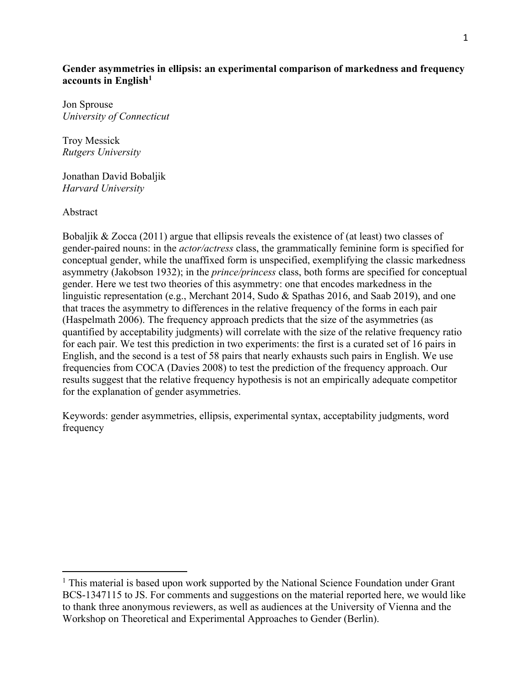# **Gender asymmetries in ellipsis: an experimental comparison of markedness and frequency accounts in English1**

Jon Sprouse *University of Connecticut*

Troy Messick *Rutgers University*

Jonathan David Bobaljik *Harvard University*

Abstract

Bobaljik & Zocca (2011) argue that ellipsis reveals the existence of (at least) two classes of gender-paired nouns: in the *actor/actress* class, the grammatically feminine form is specified for conceptual gender, while the unaffixed form is unspecified, exemplifying the classic markedness asymmetry (Jakobson 1932); in the *prince/princess* class, both forms are specified for conceptual gender. Here we test two theories of this asymmetry: one that encodes markedness in the linguistic representation (e.g., Merchant 2014, Sudo & Spathas 2016, and Saab 2019), and one that traces the asymmetry to differences in the relative frequency of the forms in each pair (Haspelmath 2006). The frequency approach predicts that the size of the asymmetries (as quantified by acceptability judgments) will correlate with the size of the relative frequency ratio for each pair. We test this prediction in two experiments: the first is a curated set of 16 pairs in English, and the second is a test of 58 pairs that nearly exhausts such pairs in English. We use frequencies from COCA (Davies 2008) to test the prediction of the frequency approach. Our results suggest that the relative frequency hypothesis is not an empirically adequate competitor for the explanation of gender asymmetries.

Keywords: gender asymmetries, ellipsis, experimental syntax, acceptability judgments, word frequency

<sup>&</sup>lt;sup>1</sup> This material is based upon work supported by the National Science Foundation under Grant BCS-1347115 to JS. For comments and suggestions on the material reported here, we would like to thank three anonymous reviewers, as well as audiences at the University of Vienna and the Workshop on Theoretical and Experimental Approaches to Gender (Berlin).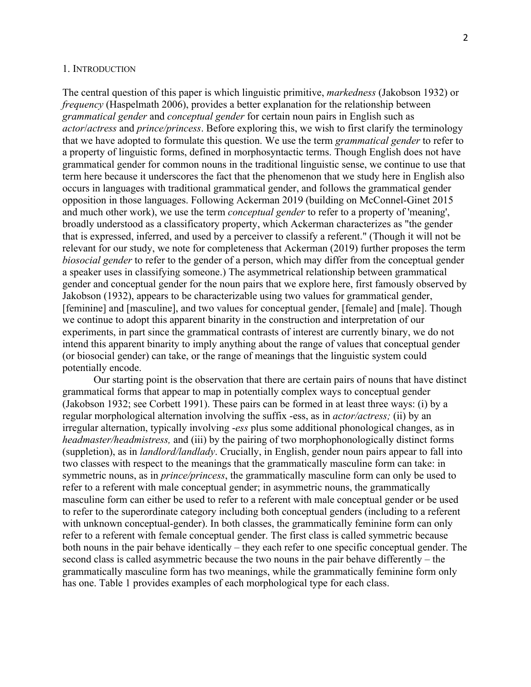#### 1. INTRODUCTION

The central question of this paper is which linguistic primitive, *markedness* (Jakobson 1932) or *frequency* (Haspelmath 2006), provides a better explanation for the relationship between *grammatical gender* and *conceptual gender* for certain noun pairs in English such as *actor*/*actress* and *prince/princess*. Before exploring this, we wish to first clarify the terminology that we have adopted to formulate this question. We use the term *grammatical gender* to refer to a property of linguistic forms, defined in morphosyntactic terms. Though English does not have grammatical gender for common nouns in the traditional linguistic sense, we continue to use that term here because it underscores the fact that the phenomenon that we study here in English also occurs in languages with traditional grammatical gender, and follows the grammatical gender opposition in those languages. Following Ackerman 2019 (building on McConnel-Ginet 2015 and much other work), we use the term *conceptual gender* to refer to a property of 'meaning', broadly understood as a classificatory property, which Ackerman characterizes as "the gender that is expressed, inferred, and used by a perceiver to classify a referent." (Though it will not be relevant for our study, we note for completeness that Ackerman (2019) further proposes the term *biosocial gender* to refer to the gender of a person, which may differ from the conceptual gender a speaker uses in classifying someone.) The asymmetrical relationship between grammatical gender and conceptual gender for the noun pairs that we explore here, first famously observed by Jakobson (1932), appears to be characterizable using two values for grammatical gender, [feminine] and [masculine], and two values for conceptual gender, [female] and [male]. Though we continue to adopt this apparent binarity in the construction and interpretation of our experiments, in part since the grammatical contrasts of interest are currently binary, we do not intend this apparent binarity to imply anything about the range of values that conceptual gender (or biosocial gender) can take, or the range of meanings that the linguistic system could potentially encode.

Our starting point is the observation that there are certain pairs of nouns that have distinct grammatical forms that appear to map in potentially complex ways to conceptual gender (Jakobson 1932; see Corbett 1991). These pairs can be formed in at least three ways: (i) by a regular morphological alternation involving the suffix -ess, as in *actor/actress;* (ii) by an irregular alternation, typically involving -*ess* plus some additional phonological changes, as in *headmaster/headmistress,* and (iii) by the pairing of two morphophonologically distinct forms (suppletion), as in *landlord/landlady*. Crucially, in English, gender noun pairs appear to fall into two classes with respect to the meanings that the grammatically masculine form can take: in symmetric nouns, as in *prince/princess*, the grammatically masculine form can only be used to refer to a referent with male conceptual gender; in asymmetric nouns, the grammatically masculine form can either be used to refer to a referent with male conceptual gender or be used to refer to the superordinate category including both conceptual genders (including to a referent with unknown conceptual-gender). In both classes, the grammatically feminine form can only refer to a referent with female conceptual gender. The first class is called symmetric because both nouns in the pair behave identically – they each refer to one specific conceptual gender. The second class is called asymmetric because the two nouns in the pair behave differently – the grammatically masculine form has two meanings, while the grammatically feminine form only has one. Table 1 provides examples of each morphological type for each class.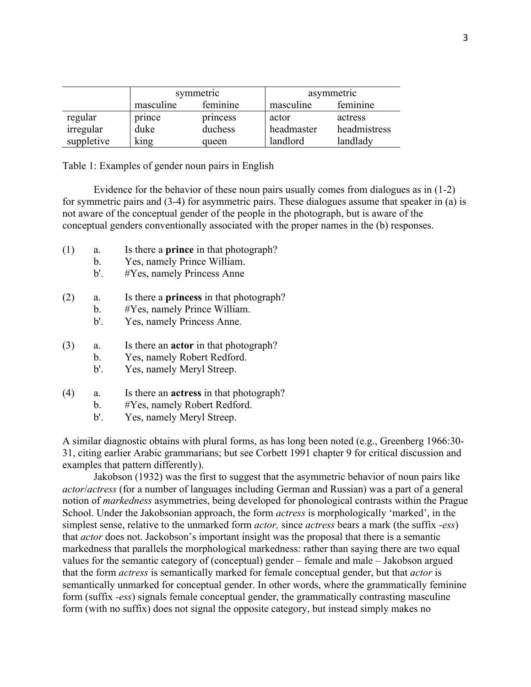|            |           | symmetric | asymmetric |              |  |  |
|------------|-----------|-----------|------------|--------------|--|--|
|            | masculine | feminine  | masculine  | feminine     |  |  |
| regular    | prince    | princess  | actor      | actress      |  |  |
| irregular  | duke      | duchess   | headmaster | headmistress |  |  |
| suppletive | king      | queen     | landlord   | landlady     |  |  |

Table 1: Examples of gender noun pairs in English

Evidence for the behavior of these noun pairs usually comes from dialogues as in (1-2) for symmetric pairs and (3-4) for asymmetric pairs. These dialogues assume that speaker in (a) is not aware of the conceptual gender of the people in the photograph, but is aware of the conceptual genders conventionally associated with the proper names in the (b) responses.

- (1) a. Is there a **prince** in that photograph?
	- b. Yes, namely Prince William.
	- b'. #Yes, namely Princess Anne
- (2) a. Is there a **princess** in that photograph?
	- b. #Yes, namely Prince William.
		- b'. Yes, namely Princess Anne.
- (3) a. Is there an **actor** in that photograph?
	- b. Yes, namely Robert Redford.
	- b'. Yes, namely Meryl Streep.
- (4) a. Is there an **actress** in that photograph?
	- b. #Yes, namely Robert Redford.
	- b'. Yes, namely Meryl Streep.

A similar diagnostic obtains with plural forms, as has long been noted (e.g., Greenberg 1966:30- 31, citing earlier Arabic grammarians; but see Corbett 1991 chapter 9 for critical discussion and examples that pattern differently).

Jakobson (1932) was the first to suggest that the asymmetric behavior of noun pairs like *actor*/*actress* (for a number of languages including German and Russian) was a part of a general notion of *markedness* asymmetries, being developed for phonological contrasts within the Prague School. Under the Jakobsonian approach, the form *actress* is morphologically 'marked', in the simplest sense, relative to the unmarked form *actor,* since *actress* bears a mark (the suffix *-ess*) that *actor* does not. Jackobson's important insight was the proposal that there is a semantic markedness that parallels the morphological markedness: rather than saying there are two equal values for the semantic category of (conceptual) gender – female and male – Jakobson argued that the form *actress* is semantically marked for female conceptual gender, but that *actor* is semantically unmarked for conceptual gender. In other words, where the grammatically feminine form (suffix *-ess*) signals female conceptual gender, the grammatically contrasting masculine form (with no suffix) does not signal the opposite category, but instead simply makes no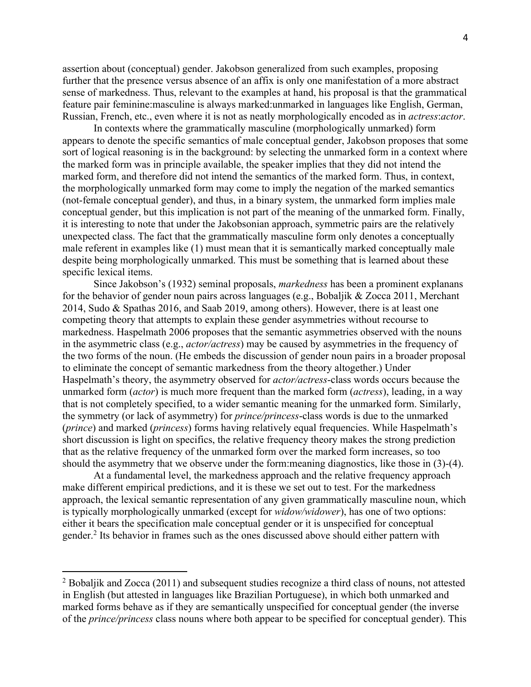assertion about (conceptual) gender. Jakobson generalized from such examples, proposing further that the presence versus absence of an affix is only one manifestation of a more abstract sense of markedness. Thus, relevant to the examples at hand, his proposal is that the grammatical feature pair feminine:masculine is always marked:unmarked in languages like English, German, Russian, French, etc., even where it is not as neatly morphologically encoded as in *actress*:*actor*.

In contexts where the grammatically masculine (morphologically unmarked) form appears to denote the specific semantics of male conceptual gender, Jakobson proposes that some sort of logical reasoning is in the background: by selecting the unmarked form in a context where the marked form was in principle available, the speaker implies that they did not intend the marked form, and therefore did not intend the semantics of the marked form. Thus, in context, the morphologically unmarked form may come to imply the negation of the marked semantics (not-female conceptual gender), and thus, in a binary system, the unmarked form implies male conceptual gender, but this implication is not part of the meaning of the unmarked form. Finally, it is interesting to note that under the Jakobsonian approach, symmetric pairs are the relatively unexpected class. The fact that the grammatically masculine form only denotes a conceptually male referent in examples like (1) must mean that it is semantically marked conceptually male despite being morphologically unmarked. This must be something that is learned about these specific lexical items.

Since Jakobson's (1932) seminal proposals, *markedness* has been a prominent explanans for the behavior of gender noun pairs across languages (e.g., Bobaljik & Zocca 2011, Merchant 2014, Sudo & Spathas 2016, and Saab 2019, among others). However, there is at least one competing theory that attempts to explain these gender asymmetries without recourse to markedness. Haspelmath 2006 proposes that the semantic asymmetries observed with the nouns in the asymmetric class (e.g., *actor/actress*) may be caused by asymmetries in the frequency of the two forms of the noun. (He embeds the discussion of gender noun pairs in a broader proposal to eliminate the concept of semantic markedness from the theory altogether.) Under Haspelmath's theory, the asymmetry observed for *actor/actress*-class words occurs because the unmarked form (*actor*) is much more frequent than the marked form (*actress*), leading, in a way that is not completely specified, to a wider semantic meaning for the unmarked form. Similarly, the symmetry (or lack of asymmetry) for *prince/princess*-class words is due to the unmarked (*prince*) and marked (*princess*) forms having relatively equal frequencies. While Haspelmath's short discussion is light on specifics, the relative frequency theory makes the strong prediction that as the relative frequency of the unmarked form over the marked form increases, so too should the asymmetry that we observe under the form:meaning diagnostics, like those in (3)-(4).

At a fundamental level, the markedness approach and the relative frequency approach make different empirical predictions, and it is these we set out to test. For the markedness approach, the lexical semantic representation of any given grammatically masculine noun, which is typically morphologically unmarked (except for *widow/widower*), has one of two options: either it bears the specification male conceptual gender or it is unspecified for conceptual gender. <sup>2</sup> Its behavior in frames such as the ones discussed above should either pattern with

<sup>&</sup>lt;sup>2</sup> Bobaljik and Zocca (2011) and subsequent studies recognize a third class of nouns, not attested in English (but attested in languages like Brazilian Portuguese), in which both unmarked and marked forms behave as if they are semantically unspecified for conceptual gender (the inverse of the *prince/princess* class nouns where both appear to be specified for conceptual gender). This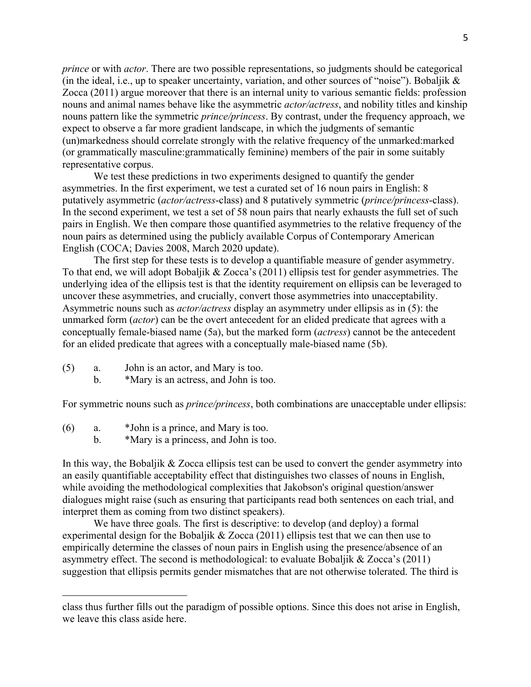*prince* or with *actor*. There are two possible representations, so judgments should be categorical (in the ideal, i.e., up to speaker uncertainty, variation, and other sources of "noise"). Bobaljik & Zocca (2011) argue moreover that there is an internal unity to various semantic fields: profession nouns and animal names behave like the asymmetric *actor/actress*, and nobility titles and kinship nouns pattern like the symmetric *prince/princess*. By contrast, under the frequency approach, we expect to observe a far more gradient landscape, in which the judgments of semantic (un)markedness should correlate strongly with the relative frequency of the unmarked:marked (or grammatically masculine:grammatically feminine) members of the pair in some suitably representative corpus.

We test these predictions in two experiments designed to quantify the gender asymmetries. In the first experiment, we test a curated set of 16 noun pairs in English: 8 putatively asymmetric (*actor/actress*-class) and 8 putatively symmetric (*prince/princess*-class). In the second experiment, we test a set of 58 noun pairs that nearly exhausts the full set of such pairs in English. We then compare those quantified asymmetries to the relative frequency of the noun pairs as determined using the publicly available Corpus of Contemporary American English (COCA; Davies 2008, March 2020 update).

The first step for these tests is to develop a quantifiable measure of gender asymmetry. To that end, we will adopt Bobaljik & Zocca's (2011) ellipsis test for gender asymmetries. The underlying idea of the ellipsis test is that the identity requirement on ellipsis can be leveraged to uncover these asymmetries, and crucially, convert those asymmetries into unacceptability. Asymmetric nouns such as *actor/actress* display an asymmetry under ellipsis as in (5): the unmarked form (*actor*) can be the overt antecedent for an elided predicate that agrees with a conceptually female-biased name (5a), but the marked form (*actress*) cannot be the antecedent for an elided predicate that agrees with a conceptually male-biased name (5b).

- (5) a. John is an actor, and Mary is too.
	- b. \*Mary is an actress, and John is too.

For symmetric nouns such as *prince/princess*, both combinations are unacceptable under ellipsis:

- (6) a. \*John is a prince, and Mary is too.
	- b. \*Mary is a princess, and John is too.

In this way, the Bobaljik & Zocca ellipsis test can be used to convert the gender asymmetry into an easily quantifiable acceptability effect that distinguishes two classes of nouns in English, while avoiding the methodological complexities that Jakobson's original question/answer dialogues might raise (such as ensuring that participants read both sentences on each trial, and interpret them as coming from two distinct speakers).

We have three goals. The first is descriptive: to develop (and deploy) a formal experimental design for the Bobaljik & Zocca (2011) ellipsis test that we can then use to empirically determine the classes of noun pairs in English using the presence/absence of an asymmetry effect. The second is methodological: to evaluate Bobaljik & Zocca's (2011) suggestion that ellipsis permits gender mismatches that are not otherwise tolerated. The third is

class thus further fills out the paradigm of possible options. Since this does not arise in English, we leave this class aside here.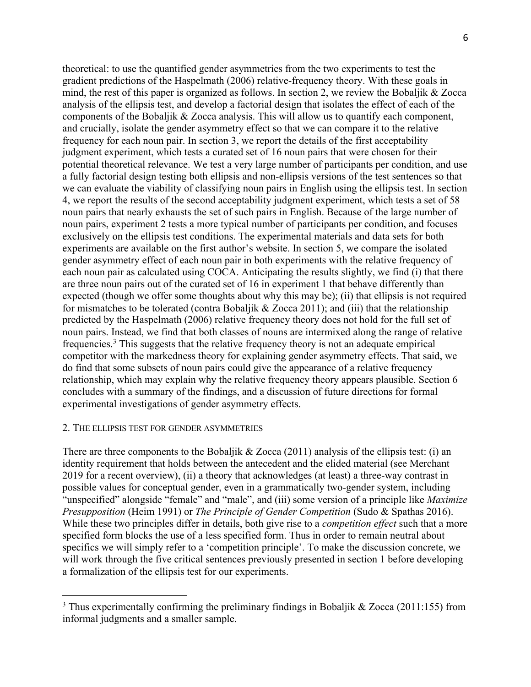theoretical: to use the quantified gender asymmetries from the two experiments to test the gradient predictions of the Haspelmath (2006) relative-frequency theory. With these goals in mind, the rest of this paper is organized as follows. In section 2, we review the Bobaljik & Zocca analysis of the ellipsis test, and develop a factorial design that isolates the effect of each of the components of the Bobaljik & Zocca analysis. This will allow us to quantify each component, and crucially, isolate the gender asymmetry effect so that we can compare it to the relative frequency for each noun pair. In section 3, we report the details of the first acceptability judgment experiment, which tests a curated set of 16 noun pairs that were chosen for their potential theoretical relevance. We test a very large number of participants per condition, and use a fully factorial design testing both ellipsis and non-ellipsis versions of the test sentences so that we can evaluate the viability of classifying noun pairs in English using the ellipsis test. In section 4, we report the results of the second acceptability judgment experiment, which tests a set of 58 noun pairs that nearly exhausts the set of such pairs in English. Because of the large number of noun pairs, experiment 2 tests a more typical number of participants per condition, and focuses exclusively on the ellipsis test conditions. The experimental materials and data sets for both experiments are available on the first author's website. In section 5, we compare the isolated gender asymmetry effect of each noun pair in both experiments with the relative frequency of each noun pair as calculated using COCA. Anticipating the results slightly, we find (i) that there are three noun pairs out of the curated set of 16 in experiment 1 that behave differently than expected (though we offer some thoughts about why this may be); (ii) that ellipsis is not required for mismatches to be tolerated (contra Bobaljik & Zocca 2011); and (iii) that the relationship predicted by the Haspelmath (2006) relative frequency theory does not hold for the full set of noun pairs. Instead, we find that both classes of nouns are intermixed along the range of relative frequencies.<sup>3</sup> This suggests that the relative frequency theory is not an adequate empirical competitor with the markedness theory for explaining gender asymmetry effects. That said, we do find that some subsets of noun pairs could give the appearance of a relative frequency relationship, which may explain why the relative frequency theory appears plausible. Section 6 concludes with a summary of the findings, and a discussion of future directions for formal experimental investigations of gender asymmetry effects.

#### 2. THE ELLIPSIS TEST FOR GENDER ASYMMETRIES

There are three components to the Bobaljik  $& Zocca (2011)$  analysis of the ellipsis test: (i) an identity requirement that holds between the antecedent and the elided material (see Merchant 2019 for a recent overview), (ii) a theory that acknowledges (at least) a three-way contrast in possible values for conceptual gender, even in a grammatically two-gender system, including "unspecified" alongside "female" and "male", and (iii) some version of a principle like *Maximize Presupposition* (Heim 1991) or *The Principle of Gender Competition* (Sudo & Spathas 2016). While these two principles differ in details, both give rise to a *competition effect* such that a more specified form blocks the use of a less specified form. Thus in order to remain neutral about specifics we will simply refer to a 'competition principle'. To make the discussion concrete, we will work through the five critical sentences previously presented in section 1 before developing a formalization of the ellipsis test for our experiments.

<sup>&</sup>lt;sup>3</sup> Thus experimentally confirming the preliminary findings in Bobaljik & Zocca (2011:155) from informal judgments and a smaller sample.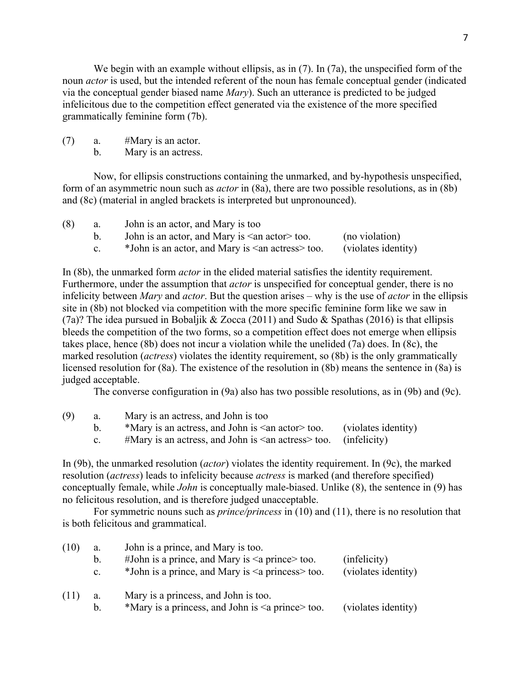We begin with an example without ellipsis, as in (7). In (7a), the unspecified form of the noun *actor* is used, but the intended referent of the noun has female conceptual gender (indicated via the conceptual gender biased name *Mary*). Such an utterance is predicted to be judged infelicitous due to the competition effect generated via the existence of the more specified grammatically feminine form (7b).

 $(7)$  a. #Mary is an actor.

b. Mary is an actress.

Now, for ellipsis constructions containing the unmarked, and by-hypothesis unspecified, form of an asymmetric noun such as *actor* in (8a), there are two possible resolutions, as in (8b) and (8c) (material in angled brackets is interpreted but unpronounced).

| (8) | а.          | John is an actor, and Mary is too                         |                     |
|-----|-------------|-----------------------------------------------------------|---------------------|
|     |             | John is an actor, and Mary is $\leq$ an actor $\geq$ too. | (no violation)      |
|     | $c_{\cdot}$ | *John is an actor, and Mary is $\leq$ an actress $>$ too. | (violates identity) |

In (8b), the unmarked form *actor* in the elided material satisfies the identity requirement. Furthermore, under the assumption that *actor* is unspecified for conceptual gender, there is no infelicity between *Mary* and *actor*. But the question arises – why is the use of *actor* in the ellipsis site in (8b) not blocked via competition with the more specific feminine form like we saw in (7a)? The idea pursued in Bobaljik & Zocca (2011) and Sudo & Spathas (2016) is that ellipsis bleeds the competition of the two forms, so a competition effect does not emerge when ellipsis takes place, hence (8b) does not incur a violation while the unelided (7a) does. In (8c), the marked resolution (*actress*) violates the identity requirement, so (8b) is the only grammatically licensed resolution for (8a). The existence of the resolution in (8b) means the sentence in (8a) is judged acceptable.

The converse configuration in (9a) also has two possible resolutions, as in (9b) and (9c).

- (9) a. Mary is an actress, and John is too b.  $*$ Mary is an actress, and John is  $\langle$  an actor  $>$  too. (violates identity)
	- c.  $\#$ Mary is an actress, and John is  $\le$  an actress  $\ge$  too. (infelicity)

In (9b), the unmarked resolution (*actor*) violates the identity requirement. In (9c), the marked resolution (*actress*) leads to infelicity because *actress* is marked (and therefore specified) conceptually female, while *John* is conceptually male-biased. Unlike (8), the sentence in (9) has no felicitous resolution, and is therefore judged unacceptable.

For symmetric nouns such as *prince/princess* in (10) and (11), there is no resolution that is both felicitous and grammatical.

| (10) | a.             | John is a prince, and Mary is too.                        |                     |
|------|----------------|-----------------------------------------------------------|---------------------|
|      | $b_{\cdot}$    | #John is a prince, and Mary is $\leq a$ prince too.       | (infelicity)        |
|      | $\mathbf{c}$ . | *John is a prince, and Mary is $\leq a$ princess $>$ too. | (violates identity) |
| (11) | a.             | Mary is a princess, and John is too.                      |                     |
|      | $b_{1}$        | *Mary is a princess, and John is $\leq a$ prince too.     | (violates identity) |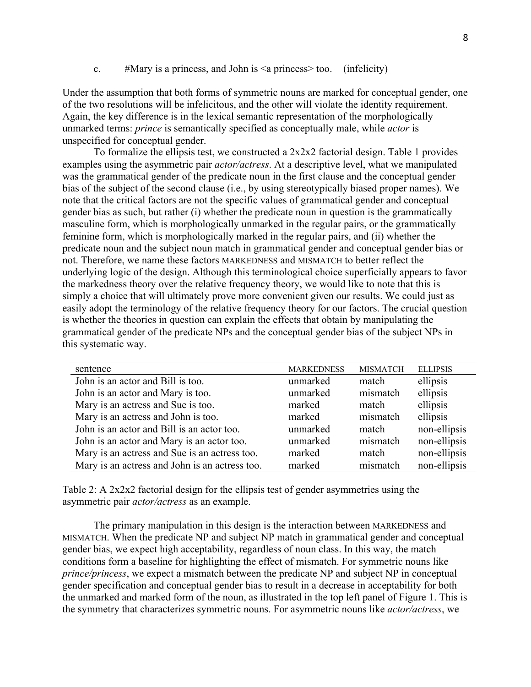c.  $\#$ Mary is a princess, and John is  $\leq$  a princess $\geq$  too. (infelicity)

Under the assumption that both forms of symmetric nouns are marked for conceptual gender, one of the two resolutions will be infelicitous, and the other will violate the identity requirement. Again, the key difference is in the lexical semantic representation of the morphologically unmarked terms: *prince* is semantically specified as conceptually male, while *actor* is unspecified for conceptual gender.

To formalize the ellipsis test, we constructed a  $2x2x2$  factorial design. Table 1 provides examples using the asymmetric pair *actor/actress*. At a descriptive level, what we manipulated was the grammatical gender of the predicate noun in the first clause and the conceptual gender bias of the subject of the second clause (i.e., by using stereotypically biased proper names). We note that the critical factors are not the specific values of grammatical gender and conceptual gender bias as such, but rather (i) whether the predicate noun in question is the grammatically masculine form, which is morphologically unmarked in the regular pairs, or the grammatically feminine form, which is morphologically marked in the regular pairs, and (ii) whether the predicate noun and the subject noun match in grammatical gender and conceptual gender bias or not. Therefore, we name these factors MARKEDNESS and MISMATCH to better reflect the underlying logic of the design. Although this terminological choice superficially appears to favor the markedness theory over the relative frequency theory, we would like to note that this is simply a choice that will ultimately prove more convenient given our results. We could just as easily adopt the terminology of the relative frequency theory for our factors. The crucial question is whether the theories in question can explain the effects that obtain by manipulating the grammatical gender of the predicate NPs and the conceptual gender bias of the subject NPs in this systematic way.

| sentence                                       | <b>MARKEDNESS</b> | <b>MISMATCH</b> | <b>ELLIPSIS</b> |
|------------------------------------------------|-------------------|-----------------|-----------------|
| John is an actor and Bill is too.              | unmarked          | match           | ellipsis        |
| John is an actor and Mary is too.              | unmarked          | mismatch        | ellipsis        |
| Mary is an actress and Sue is too.             | marked            | match           | ellipsis        |
| Mary is an actress and John is too.            | marked            | mismatch        | ellipsis        |
| John is an actor and Bill is an actor too.     | unmarked          | match           | non-ellipsis    |
| John is an actor and Mary is an actor too.     | unmarked          | mismatch        | non-ellipsis    |
| Mary is an actress and Sue is an actress too.  | marked            | match           | non-ellipsis    |
| Mary is an actress and John is an actress too. | marked            | mismatch        | non-ellipsis    |

Table 2: A 2x2x2 factorial design for the ellipsis test of gender asymmetries using the asymmetric pair *actor/actress* as an example.

The primary manipulation in this design is the interaction between MARKEDNESS and MISMATCH. When the predicate NP and subject NP match in grammatical gender and conceptual gender bias, we expect high acceptability, regardless of noun class. In this way, the match conditions form a baseline for highlighting the effect of mismatch. For symmetric nouns like *prince/princess*, we expect a mismatch between the predicate NP and subject NP in conceptual gender specification and conceptual gender bias to result in a decrease in acceptability for both the unmarked and marked form of the noun, as illustrated in the top left panel of Figure 1. This is the symmetry that characterizes symmetric nouns. For asymmetric nouns like *actor/actress*, we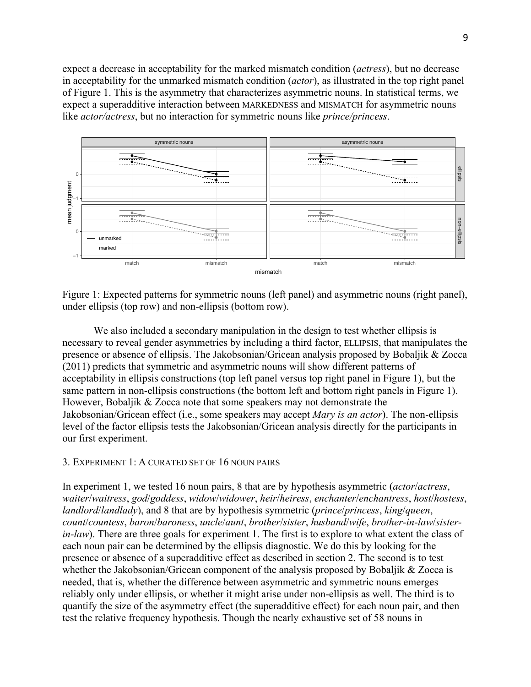expect a decrease in acceptability for the marked mismatch condition (*actress*), but no decrease in acceptability for the unmarked mismatch condition (*actor*), as illustrated in the top right panel of Figure 1. This is the asymmetry that characterizes asymmetric nouns. In statistical terms, we expect a superadditive interaction between MARKEDNESS and MISMATCH for asymmetric nouns like *actor/actress*, but no interaction for symmetric nouns like *prince/princess*.



Figure 1: Expected patterns for symmetric nouns (left panel) and asymmetric nouns (right panel), under ellipsis (top row) and non-ellipsis (bottom row).

We also included a secondary manipulation in the design to test whether ellipsis is necessary to reveal gender asymmetries by including a third factor, ELLIPSIS, that manipulates the presence or absence of ellipsis. The Jakobsonian/Gricean analysis proposed by Bobaljik & Zocca (2011) predicts that symmetric and asymmetric nouns will show different patterns of acceptability in ellipsis constructions (top left panel versus top right panel in Figure 1), but the same pattern in non-ellipsis constructions (the bottom left and bottom right panels in Figure 1). However, Bobaljik & Zocca note that some speakers may not demonstrate the Jakobsonian/Gricean effect (i.e., some speakers may accept *Mary is an actor*). The non-ellipsis level of the factor ellipsis tests the Jakobsonian/Gricean analysis directly for the participants in our first experiment.

### 3. EXPERIMENT 1: A CURATED SET OF 16 NOUN PAIRS

In experiment 1, we tested 16 noun pairs, 8 that are by hypothesis asymmetric (*actor*/*actress*, *waiter*/*waitress*, *god*/*goddess*, *widow*/*widower*, *heir*/*heiress*, *enchanter*/*enchantress*, *host*/*hostess*, *landlord*/*landlady*), and 8 that are by hypothesis symmetric (*prince*/*princess*, *king*/*queen*, *count*/*countess*, *baron*/*baroness*, *uncle*/*aunt*, *brother*/*sister*, *husband*/*wife*, *brother-in-law*/*sisterin-law*). There are three goals for experiment 1. The first is to explore to what extent the class of each noun pair can be determined by the ellipsis diagnostic. We do this by looking for the presence or absence of a superadditive effect as described in section 2. The second is to test whether the Jakobsonian/Gricean component of the analysis proposed by Bobaljik & Zocca is needed, that is, whether the difference between asymmetric and symmetric nouns emerges reliably only under ellipsis, or whether it might arise under non-ellipsis as well. The third is to quantify the size of the asymmetry effect (the superadditive effect) for each noun pair, and then test the relative frequency hypothesis. Though the nearly exhaustive set of 58 nouns in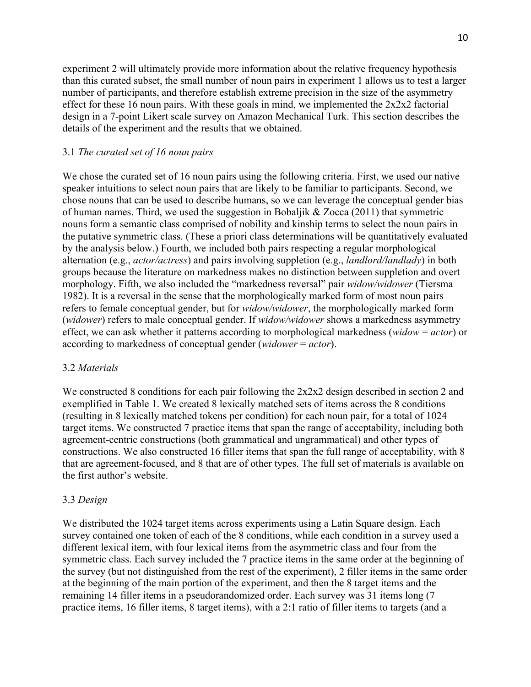experiment 2 will ultimately provide more information about the relative frequency hypothesis than this curated subset, the small number of noun pairs in experiment 1 allows us to test a larger number of participants, and therefore establish extreme precision in the size of the asymmetry effect for these 16 noun pairs. With these goals in mind, we implemented the 2x2x2 factorial design in a 7-point Likert scale survey on Amazon Mechanical Turk. This section describes the details of the experiment and the results that we obtained.

## 3.1 *The curated set of 16 noun pairs*

We chose the curated set of 16 noun pairs using the following criteria. First, we used our native speaker intuitions to select noun pairs that are likely to be familiar to participants. Second, we chose nouns that can be used to describe humans, so we can leverage the conceptual gender bias of human names. Third, we used the suggestion in Bobaljik & Zocca (2011) that symmetric nouns form a semantic class comprised of nobility and kinship terms to select the noun pairs in the putative symmetric class. (These a priori class determinations will be quantitatively evaluated by the analysis below.) Fourth, we included both pairs respecting a regular morphological alternation (e.g., *actor/actress*) and pairs involving suppletion (e.g., *landlord/landlady*) in both groups because the literature on markedness makes no distinction between suppletion and overt morphology. Fifth, we also included the "markedness reversal" pair *widow/widower* (Tiersma 1982). It is a reversal in the sense that the morphologically marked form of most noun pairs refers to female conceptual gender, but for *widow/widower*, the morphologically marked form (*widower*) refers to male conceptual gender. If *widow/widower* shows a markedness asymmetry effect, we can ask whether it patterns according to morphological markedness (*widow* = *actor*) or according to markedness of conceptual gender (*widower* = *actor*).

#### 3.2 *Materials*

We constructed 8 conditions for each pair following the 2x2x2 design described in section 2 and exemplified in Table 1. We created 8 lexically matched sets of items across the 8 conditions (resulting in 8 lexically matched tokens per condition) for each noun pair, for a total of 1024 target items. We constructed 7 practice items that span the range of acceptability, including both agreement-centric constructions (both grammatical and ungrammatical) and other types of constructions. We also constructed 16 filler items that span the full range of acceptability, with 8 that are agreement-focused, and 8 that are of other types. The full set of materials is available on the first author's website.

#### 3.3 *Design*

We distributed the 1024 target items across experiments using a Latin Square design. Each survey contained one token of each of the 8 conditions, while each condition in a survey used a different lexical item, with four lexical items from the asymmetric class and four from the symmetric class. Each survey included the 7 practice items in the same order at the beginning of the survey (but not distinguished from the rest of the experiment), 2 filler items in the same order at the beginning of the main portion of the experiment, and then the 8 target items and the remaining 14 filler items in a pseudorandomized order. Each survey was 31 items long (7 practice items, 16 filler items, 8 target items), with a 2:1 ratio of filler items to targets (and a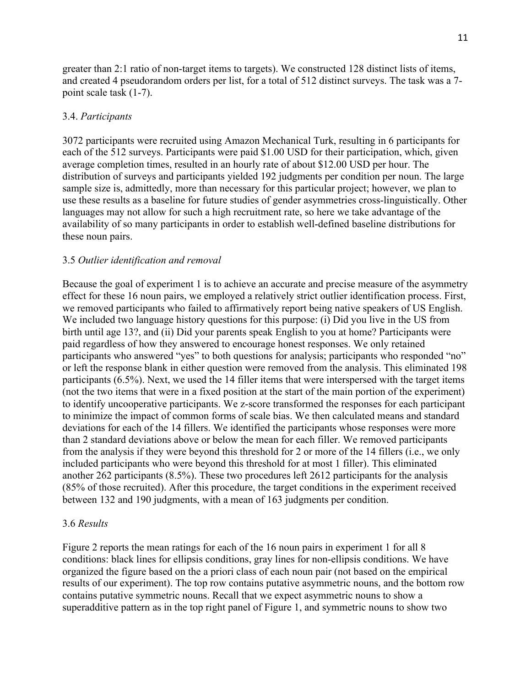greater than 2:1 ratio of non-target items to targets). We constructed 128 distinct lists of items, and created 4 pseudorandom orders per list, for a total of 512 distinct surveys. The task was a 7 point scale task (1-7).

# 3.4. *Participants*

3072 participants were recruited using Amazon Mechanical Turk, resulting in 6 participants for each of the 512 surveys. Participants were paid \$1.00 USD for their participation, which, given average completion times, resulted in an hourly rate of about \$12.00 USD per hour. The distribution of surveys and participants yielded 192 judgments per condition per noun. The large sample size is, admittedly, more than necessary for this particular project; however, we plan to use these results as a baseline for future studies of gender asymmetries cross-linguistically. Other languages may not allow for such a high recruitment rate, so here we take advantage of the availability of so many participants in order to establish well-defined baseline distributions for these noun pairs.

## 3.5 *Outlier identification and removal*

Because the goal of experiment 1 is to achieve an accurate and precise measure of the asymmetry effect for these 16 noun pairs, we employed a relatively strict outlier identification process. First, we removed participants who failed to affirmatively report being native speakers of US English. We included two language history questions for this purpose: (i) Did you live in the US from birth until age 13?, and (ii) Did your parents speak English to you at home? Participants were paid regardless of how they answered to encourage honest responses. We only retained participants who answered "yes" to both questions for analysis; participants who responded "no" or left the response blank in either question were removed from the analysis. This eliminated 198 participants (6.5%). Next, we used the 14 filler items that were interspersed with the target items (not the two items that were in a fixed position at the start of the main portion of the experiment) to identify uncooperative participants. We z-score transformed the responses for each participant to minimize the impact of common forms of scale bias. We then calculated means and standard deviations for each of the 14 fillers. We identified the participants whose responses were more than 2 standard deviations above or below the mean for each filler. We removed participants from the analysis if they were beyond this threshold for 2 or more of the 14 fillers (i.e., we only included participants who were beyond this threshold for at most 1 filler). This eliminated another 262 participants (8.5%). These two procedures left 2612 participants for the analysis (85% of those recruited). After this procedure, the target conditions in the experiment received between 132 and 190 judgments, with a mean of 163 judgments per condition.

### 3.6 *Results*

Figure 2 reports the mean ratings for each of the 16 noun pairs in experiment 1 for all 8 conditions: black lines for ellipsis conditions, gray lines for non-ellipsis conditions. We have organized the figure based on the a priori class of each noun pair (not based on the empirical results of our experiment). The top row contains putative asymmetric nouns, and the bottom row contains putative symmetric nouns. Recall that we expect asymmetric nouns to show a superadditive pattern as in the top right panel of Figure 1, and symmetric nouns to show two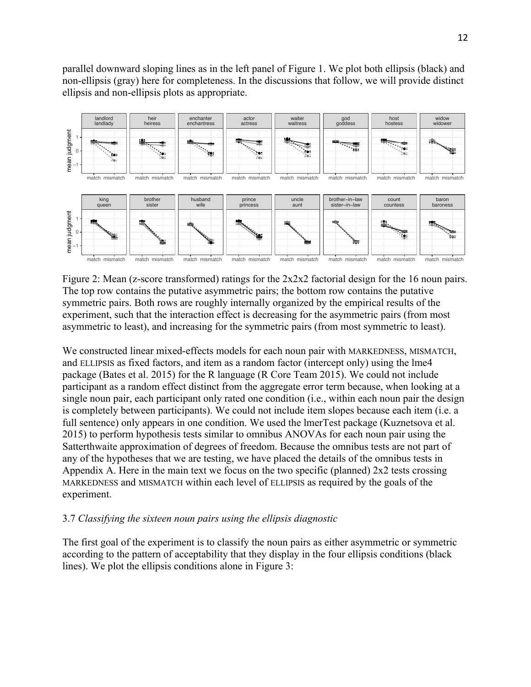parallel downward sloping lines as in the left panel of Figure 1. We plot both ellipsis (black) and non-ellipsis (gray) here for completeness. In the discussions that follow, we will provide distinct ellipsis and non-ellipsis plots as appropriate.



Figure 2: Mean (z-score transformed) ratings for the 2x2x2 factorial design for the 16 noun pairs. The top row contains the putative asymmetric pairs; the bottom row contains the putative symmetric pairs. Both rows are roughly internally organized by the empirical results of the experiment, such that the interaction effect is decreasing for the asymmetric pairs (from most asymmetric to least), and increasing for the symmetric pairs (from most symmetric to least).

We constructed linear mixed-effects models for each noun pair with MARKEDNESS, MISMATCH, and ELLIPSIS as fixed factors, and item as a random factor (intercept only) using the lme4 package (Bates et al. 2015) for the R language (R Core Team 2015). We could not include participant as a random effect distinct from the aggregate error term because, when looking at a single noun pair, each participant only rated one condition (i.e., within each noun pair the design is completely between participants). We could not include item slopes because each item (i.e. a full sentence) only appears in one condition. We used the lmerTest package (Kuznetsova et al. 2015) to perform hypothesis tests similar to omnibus ANOVAs for each noun pair using the Satterthwaite approximation of degrees of freedom. Because the omnibus tests are not part of any of the hypotheses that we are testing, we have placed the details of the omnibus tests in Appendix A. Here in the main text we focus on the two specific (planned)  $2x2$  tests crossing MARKEDNESS and MISMATCH within each level of ELLIPSIS as required by the goals of the experiment.

# 3.7 *Classifying the sixteen noun pairs using the ellipsis diagnostic*

The first goal of the experiment is to classify the noun pairs as either asymmetric or symmetric according to the pattern of acceptability that they display in the four ellipsis conditions (black lines). We plot the ellipsis conditions alone in Figure 3: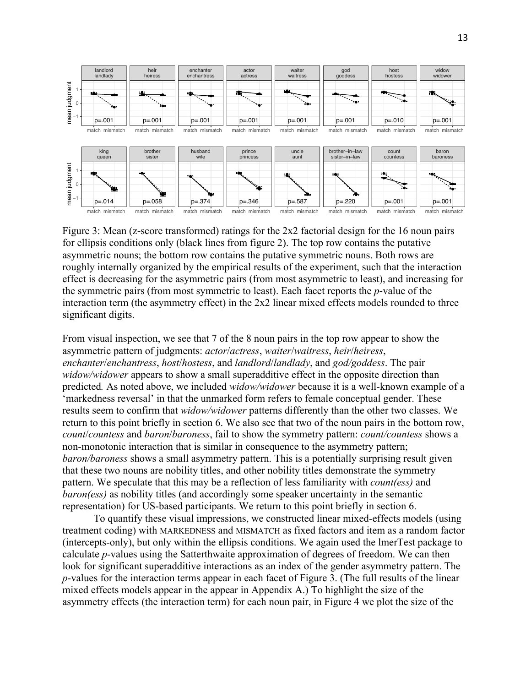

Figure 3: Mean (z-score transformed) ratings for the 2x2 factorial design for the 16 noun pairs for ellipsis conditions only (black lines from figure 2). The top row contains the putative asymmetric nouns; the bottom row contains the putative symmetric nouns. Both rows are roughly internally organized by the empirical results of the experiment, such that the interaction effect is decreasing for the asymmetric pairs (from most asymmetric to least), and increasing for the symmetric pairs (from most symmetric to least). Each facet reports the *p*-value of the interaction term (the asymmetry effect) in the 2x2 linear mixed effects models rounded to three significant digits.

From visual inspection, we see that 7 of the 8 noun pairs in the top row appear to show the asymmetric pattern of judgments: *actor*/*actress*, *waiter*/*waitress*, *heir*/*heiress*, *enchanter*/*enchantress*, *host*/*hostess*, and *landlord*/*landlady*, and *god/goddess*. The pair *widow/widower* appears to show a small superadditive effect in the opposite direction than predicted*.* As noted above, we included *widow/widower* because it is a well-known example of a 'markedness reversal' in that the unmarked form refers to female conceptual gender. These results seem to confirm that *widow/widower* patterns differently than the other two classes. We return to this point briefly in section 6. We also see that two of the noun pairs in the bottom row, *count*/*countess* and *baron*/*baroness*, fail to show the symmetry pattern: *count/countess* shows a non-monotonic interaction that is similar in consequence to the asymmetry pattern; *baron/baroness* shows a small asymmetry pattern. This is a potentially surprising result given that these two nouns are nobility titles, and other nobility titles demonstrate the symmetry pattern. We speculate that this may be a reflection of less familiarity with *count(ess)* and *baron(ess)* as nobility titles (and accordingly some speaker uncertainty in the semantic representation) for US-based participants. We return to this point briefly in section 6.

To quantify these visual impressions, we constructed linear mixed-effects models (using treatment coding) with MARKEDNESS and MISMATCH as fixed factors and item as a random factor (intercepts-only), but only within the ellipsis conditions. We again used the lmerTest package to calculate *p*-values using the Satterthwaite approximation of degrees of freedom. We can then look for significant superadditive interactions as an index of the gender asymmetry pattern. The *p*-values for the interaction terms appear in each facet of Figure 3. (The full results of the linear mixed effects models appear in the appear in Appendix A.) To highlight the size of the asymmetry effects (the interaction term) for each noun pair, in Figure 4 we plot the size of the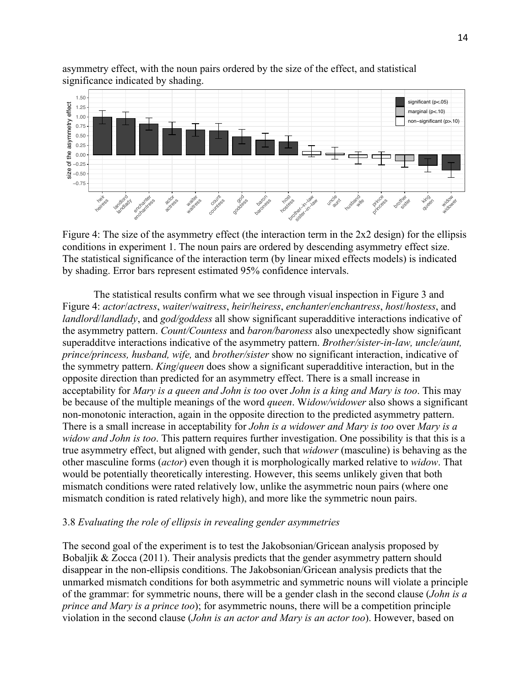

asymmetry effect, with the noun pairs ordered by the size of the effect, and statistical significance indicated by shading.

Figure 4: The size of the asymmetry effect (the interaction term in the 2x2 design) for the ellipsis conditions in experiment 1. The noun pairs are ordered by descending asymmetry effect size. The statistical significance of the interaction term (by linear mixed effects models) is indicated by shading. Error bars represent estimated 95% confidence intervals.

The statistical results confirm what we see through visual inspection in Figure 3 and Figure 4: *actor*/*actress*, *waiter*/*waitress*, *heir*/*heiress*, *enchanter*/*enchantress*, *host*/*hostess*, and *landlord*/*landlady*, and *god/goddess* all show significant superadditive interactions indicative of the asymmetry pattern. *Count/Countess* and *baron/baroness* also unexpectedly show significant superadditve interactions indicative of the asymmetry pattern. *Brother/sister-in-law, uncle/aunt, prince/princess, husband, wife,* and *brother/sister* show no significant interaction, indicative of the symmetry pattern. *King*/*queen* does show a significant superadditive interaction, but in the opposite direction than predicted for an asymmetry effect. There is a small increase in acceptability for *Mary is a queen and John is too* over *John is a king and Mary is too*. This may be because of the multiple meanings of the word *queen*. W*idow/widower* also shows a significant non-monotonic interaction, again in the opposite direction to the predicted asymmetry pattern. There is a small increase in acceptability for *John is a widower and Mary is too* over *Mary is a widow and John is too*. This pattern requires further investigation. One possibility is that this is a true asymmetry effect, but aligned with gender, such that *widower* (masculine) is behaving as the other masculine forms (*actor*) even though it is morphologically marked relative to *widow*. That would be potentially theoretically interesting. However, this seems unlikely given that both mismatch conditions were rated relatively low, unlike the asymmetric noun pairs (where one mismatch condition is rated relatively high), and more like the symmetric noun pairs.

### 3.8 *Evaluating the role of ellipsis in revealing gender asymmetries*

The second goal of the experiment is to test the Jakobsonian/Gricean analysis proposed by Bobaljik & Zocca (2011). Their analysis predicts that the gender asymmetry pattern should disappear in the non-ellipsis conditions. The Jakobsonian/Gricean analysis predicts that the unmarked mismatch conditions for both asymmetric and symmetric nouns will violate a principle of the grammar: for symmetric nouns, there will be a gender clash in the second clause (*John is a prince and Mary is a prince too*); for asymmetric nouns, there will be a competition principle violation in the second clause (*John is an actor and Mary is an actor too*). However, based on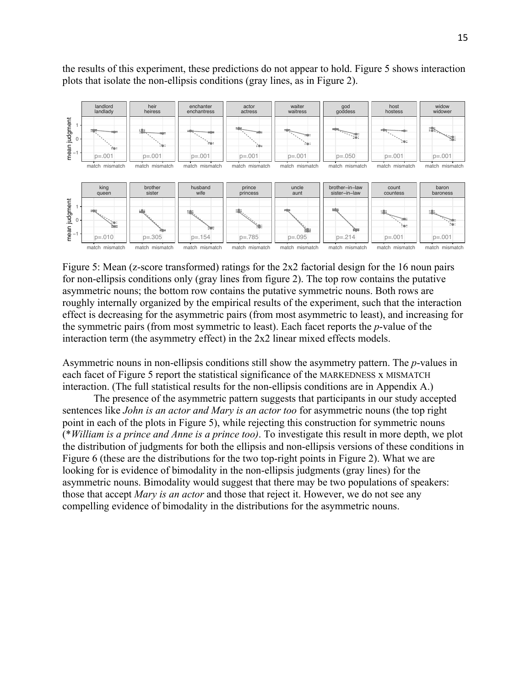the results of this experiment, these predictions do not appear to hold. Figure 5 shows interaction plots that isolate the non-ellipsis conditions (gray lines, as in Figure 2).



Figure 5: Mean (z-score transformed) ratings for the 2x2 factorial design for the 16 noun pairs for non-ellipsis conditions only (gray lines from figure 2). The top row contains the putative asymmetric nouns; the bottom row contains the putative symmetric nouns. Both rows are roughly internally organized by the empirical results of the experiment, such that the interaction effect is decreasing for the asymmetric pairs (from most asymmetric to least), and increasing for the symmetric pairs (from most symmetric to least). Each facet reports the *p*-value of the interaction term (the asymmetry effect) in the 2x2 linear mixed effects models.

Asymmetric nouns in non-ellipsis conditions still show the asymmetry pattern. The *p*-values in each facet of Figure 5 report the statistical significance of the MARKEDNESS x MISMATCH interaction. (The full statistical results for the non-ellipsis conditions are in Appendix A.)

The presence of the asymmetric pattern suggests that participants in our study accepted sentences like *John is an actor and Mary is an actor too* for asymmetric nouns (the top right point in each of the plots in Figure 5), while rejecting this construction for symmetric nouns (\**William is a prince and Anne is a prince too)*. To investigate this result in more depth, we plot the distribution of judgments for both the ellipsis and non-ellipsis versions of these conditions in Figure 6 (these are the distributions for the two top-right points in Figure 2). What we are looking for is evidence of bimodality in the non-ellipsis judgments (gray lines) for the asymmetric nouns. Bimodality would suggest that there may be two populations of speakers: those that accept *Mary is an actor* and those that reject it. However, we do not see any compelling evidence of bimodality in the distributions for the asymmetric nouns.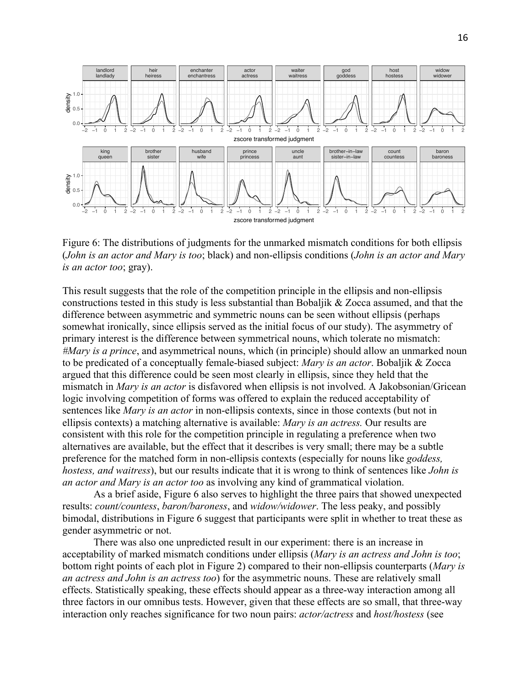

Figure 6: The distributions of judgments for the unmarked mismatch conditions for both ellipsis (*John is an actor and Mary is too*; black) and non-ellipsis conditions (*John is an actor and Mary is an actor too*; gray).

This result suggests that the role of the competition principle in the ellipsis and non-ellipsis constructions tested in this study is less substantial than Bobaljik & Zocca assumed, and that the difference between asymmetric and symmetric nouns can be seen without ellipsis (perhaps somewhat ironically, since ellipsis served as the initial focus of our study). The asymmetry of primary interest is the difference between symmetrical nouns, which tolerate no mismatch: *#Mary is a prince*, and asymmetrical nouns, which (in principle) should allow an unmarked noun to be predicated of a conceptually female-biased subject: *Mary is an actor*. Bobaljik & Zocca argued that this difference could be seen most clearly in ellipsis, since they held that the mismatch in *Mary is an actor* is disfavored when ellipsis is not involved. A Jakobsonian/Gricean logic involving competition of forms was offered to explain the reduced acceptability of sentences like *Mary is an actor* in non-ellipsis contexts, since in those contexts (but not in ellipsis contexts) a matching alternative is available: *Mary is an actress.* Our results are consistent with this role for the competition principle in regulating a preference when two alternatives are available, but the effect that it describes is very small; there may be a subtle preference for the matched form in non-ellipsis contexts (especially for nouns like *goddess, hostess, and waitress*), but our results indicate that it is wrong to think of sentences like *John is an actor and Mary is an actor too* as involving any kind of grammatical violation.

As a brief aside, Figure 6 also serves to highlight the three pairs that showed unexpected results: *count/countess*, *baron/baroness*, and *widow/widower*. The less peaky, and possibly bimodal, distributions in Figure 6 suggest that participants were split in whether to treat these as gender asymmetric or not.

There was also one unpredicted result in our experiment: there is an increase in acceptability of marked mismatch conditions under ellipsis (*Mary is an actress and John is too*; bottom right points of each plot in Figure 2) compared to their non-ellipsis counterparts (*Mary is an actress and John is an actress too*) for the asymmetric nouns. These are relatively small effects. Statistically speaking, these effects should appear as a three-way interaction among all three factors in our omnibus tests. However, given that these effects are so small, that three-way interaction only reaches significance for two noun pairs: *actor/actress* and *host/hostess* (see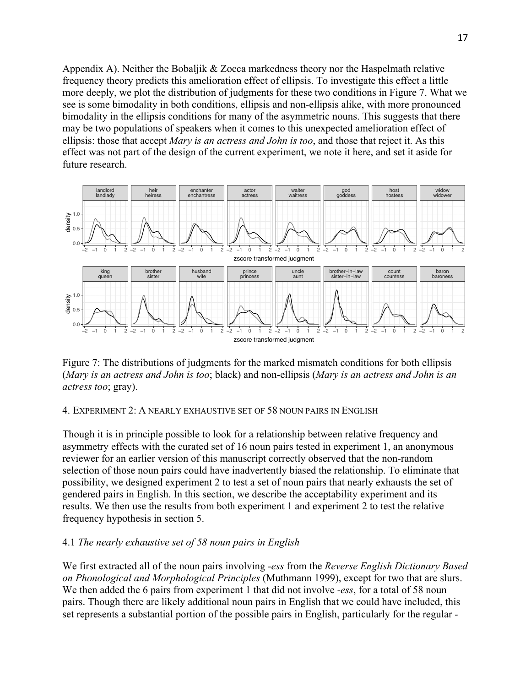Appendix A). Neither the Bobaljik & Zocca markedness theory nor the Haspelmath relative frequency theory predicts this amelioration effect of ellipsis. To investigate this effect a little more deeply, we plot the distribution of judgments for these two conditions in Figure 7. What we see is some bimodality in both conditions, ellipsis and non-ellipsis alike, with more pronounced bimodality in the ellipsis conditions for many of the asymmetric nouns. This suggests that there may be two populations of speakers when it comes to this unexpected amelioration effect of ellipsis: those that accept *Mary is an actress and John is too*, and those that reject it. As this effect was not part of the design of the current experiment, we note it here, and set it aside for future research.



Figure 7: The distributions of judgments for the marked mismatch conditions for both ellipsis (*Mary is an actress and John is too*; black) and non-ellipsis (*Mary is an actress and John is an actress too*; gray).

# 4. EXPERIMENT 2: A NEARLY EXHAUSTIVE SET OF 58 NOUN PAIRS IN ENGLISH

Though it is in principle possible to look for a relationship between relative frequency and asymmetry effects with the curated set of 16 noun pairs tested in experiment 1, an anonymous reviewer for an earlier version of this manuscript correctly observed that the non-random selection of those noun pairs could have inadvertently biased the relationship. To eliminate that possibility, we designed experiment 2 to test a set of noun pairs that nearly exhausts the set of gendered pairs in English. In this section, we describe the acceptability experiment and its results. We then use the results from both experiment 1 and experiment 2 to test the relative frequency hypothesis in section 5.

# 4.1 *The nearly exhaustive set of 58 noun pairs in English*

We first extracted all of the noun pairs involving *-ess* from the *Reverse English Dictionary Based on Phonological and Morphological Principles* (Muthmann 1999), except for two that are slurs. We then added the 6 pairs from experiment 1 that did not involve *-ess*, for a total of 58 noun pairs. Though there are likely additional noun pairs in English that we could have included, this set represents a substantial portion of the possible pairs in English, particularly for the regular *-*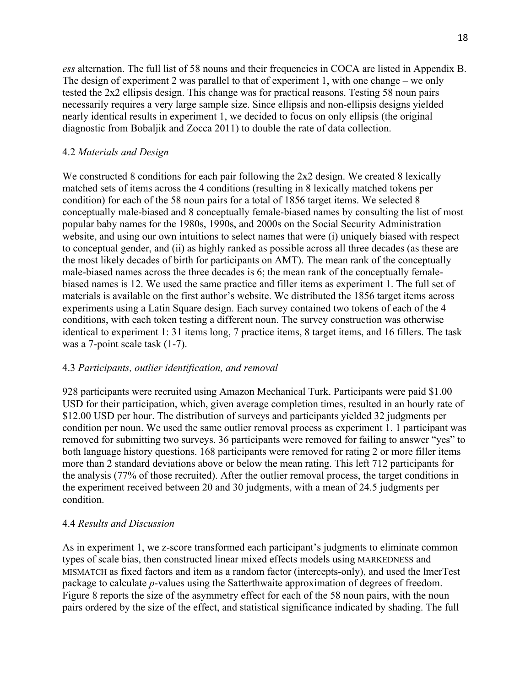*ess* alternation. The full list of 58 nouns and their frequencies in COCA are listed in Appendix B. The design of experiment 2 was parallel to that of experiment 1, with one change – we only tested the 2x2 ellipsis design. This change was for practical reasons. Testing 58 noun pairs necessarily requires a very large sample size. Since ellipsis and non-ellipsis designs yielded nearly identical results in experiment 1, we decided to focus on only ellipsis (the original diagnostic from Bobaljik and Zocca 2011) to double the rate of data collection.

## 4.2 *Materials and Design*

We constructed 8 conditions for each pair following the 2x2 design. We created 8 lexically matched sets of items across the 4 conditions (resulting in 8 lexically matched tokens per condition) for each of the 58 noun pairs for a total of 1856 target items. We selected 8 conceptually male-biased and 8 conceptually female-biased names by consulting the list of most popular baby names for the 1980s, 1990s, and 2000s on the Social Security Administration website, and using our own intuitions to select names that were (i) uniquely biased with respect to conceptual gender, and (ii) as highly ranked as possible across all three decades (as these are the most likely decades of birth for participants on AMT). The mean rank of the conceptually male-biased names across the three decades is 6; the mean rank of the conceptually femalebiased names is 12. We used the same practice and filler items as experiment 1. The full set of materials is available on the first author's website. We distributed the 1856 target items across experiments using a Latin Square design. Each survey contained two tokens of each of the 4 conditions, with each token testing a different noun. The survey construction was otherwise identical to experiment 1: 31 items long, 7 practice items, 8 target items, and 16 fillers. The task was a 7-point scale task (1-7).

### 4.3 *Participants, outlier identification, and removal*

928 participants were recruited using Amazon Mechanical Turk. Participants were paid \$1.00 USD for their participation, which, given average completion times, resulted in an hourly rate of \$12.00 USD per hour. The distribution of surveys and participants yielded 32 judgments per condition per noun. We used the same outlier removal process as experiment 1. 1 participant was removed for submitting two surveys. 36 participants were removed for failing to answer "yes" to both language history questions. 168 participants were removed for rating 2 or more filler items more than 2 standard deviations above or below the mean rating. This left 712 participants for the analysis (77% of those recruited). After the outlier removal process, the target conditions in the experiment received between 20 and 30 judgments, with a mean of 24.5 judgments per condition.

### 4.4 *Results and Discussion*

As in experiment 1, we z-score transformed each participant's judgments to eliminate common types of scale bias, then constructed linear mixed effects models using MARKEDNESS and MISMATCH as fixed factors and item as a random factor (intercepts-only), and used the lmerTest package to calculate *p*-values using the Satterthwaite approximation of degrees of freedom. Figure 8 reports the size of the asymmetry effect for each of the 58 noun pairs, with the noun pairs ordered by the size of the effect, and statistical significance indicated by shading. The full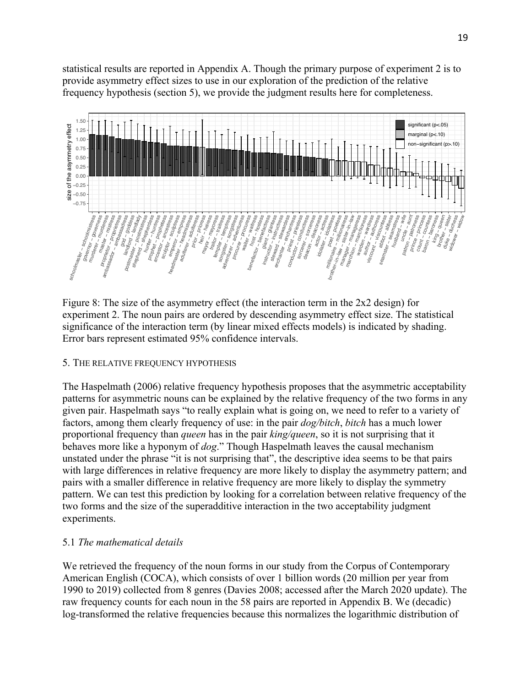statistical results are reported in Appendix A. Though the primary purpose of experiment 2 is to provide asymmetry effect sizes to use in our exploration of the prediction of the relative frequency hypothesis (section 5), we provide the judgment results here for completeness.



Figure 8: The size of the asymmetry effect (the interaction term in the 2x2 design) for experiment 2. The noun pairs are ordered by descending asymmetry effect size. The statistical significance of the interaction term (by linear mixed effects models) is indicated by shading. Error bars represent estimated 95% confidence intervals.

# 5. THE RELATIVE FREQUENCY HYPOTHESIS

The Haspelmath (2006) relative frequency hypothesis proposes that the asymmetric acceptability patterns for asymmetric nouns can be explained by the relative frequency of the two forms in any given pair. Haspelmath says "to really explain what is going on, we need to refer to a variety of factors, among them clearly frequency of use: in the pair *dog/bitch*, *bitch* has a much lower proportional frequency than *queen* has in the pair *king/queen*, so it is not surprising that it behaves more like a hyponym of *dog*." Though Haspelmath leaves the causal mechanism unstated under the phrase "it is not surprising that", the descriptive idea seems to be that pairs with large differences in relative frequency are more likely to display the asymmetry pattern; and pairs with a smaller difference in relative frequency are more likely to display the symmetry pattern. We can test this prediction by looking for a correlation between relative frequency of the two forms and the size of the superadditive interaction in the two acceptability judgment experiments.

# 5.1 *The mathematical details*

We retrieved the frequency of the noun forms in our study from the Corpus of Contemporary American English (COCA), which consists of over 1 billion words (20 million per year from 1990 to 2019) collected from 8 genres (Davies 2008; accessed after the March 2020 update). The raw frequency counts for each noun in the 58 pairs are reported in Appendix B. We (decadic) log-transformed the relative frequencies because this normalizes the logarithmic distribution of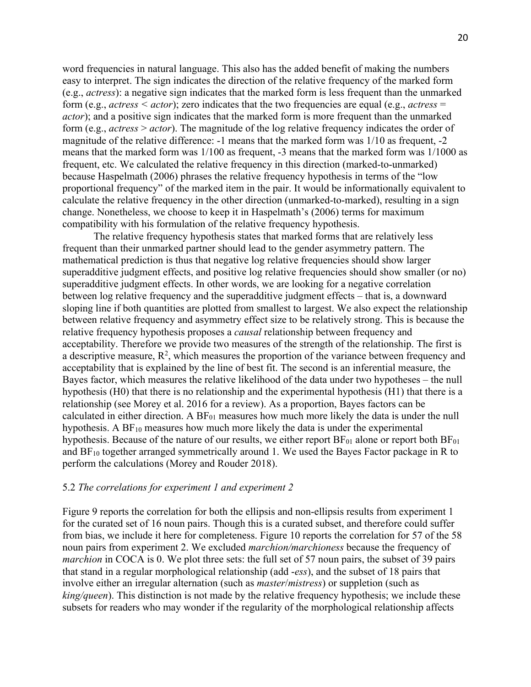word frequencies in natural language. This also has the added benefit of making the numbers easy to interpret. The sign indicates the direction of the relative frequency of the marked form (e.g., *actress*): a negative sign indicates that the marked form is less frequent than the unmarked form (e.g., *actress < actor*); zero indicates that the two frequencies are equal (e.g., *actress* = *actor*); and a positive sign indicates that the marked form is more frequent than the unmarked form (e.g., *actress* > *actor*). The magnitude of the log relative frequency indicates the order of magnitude of the relative difference: -1 means that the marked form was 1/10 as frequent, -2 means that the marked form was 1/100 as frequent, -3 means that the marked form was 1/1000 as frequent, etc. We calculated the relative frequency in this direction (marked-to-unmarked) because Haspelmath (2006) phrases the relative frequency hypothesis in terms of the "low proportional frequency" of the marked item in the pair. It would be informationally equivalent to calculate the relative frequency in the other direction (unmarked-to-marked), resulting in a sign change. Nonetheless, we choose to keep it in Haspelmath's (2006) terms for maximum compatibility with his formulation of the relative frequency hypothesis.

The relative frequency hypothesis states that marked forms that are relatively less frequent than their unmarked partner should lead to the gender asymmetry pattern. The mathematical prediction is thus that negative log relative frequencies should show larger superadditive judgment effects, and positive log relative frequencies should show smaller (or no) superadditive judgment effects. In other words, we are looking for a negative correlation between log relative frequency and the superadditive judgment effects – that is, a downward sloping line if both quantities are plotted from smallest to largest. We also expect the relationship between relative frequency and asymmetry effect size to be relatively strong. This is because the relative frequency hypothesis proposes a *causal* relationship between frequency and acceptability. Therefore we provide two measures of the strength of the relationship. The first is a descriptive measure,  $R^2$ , which measures the proportion of the variance between frequency and acceptability that is explained by the line of best fit. The second is an inferential measure, the Bayes factor, which measures the relative likelihood of the data under two hypotheses – the null hypothesis (H0) that there is no relationship and the experimental hypothesis (H1) that there is a relationship (see Morey et al. 2016 for a review). As a proportion, Bayes factors can be calculated in either direction. A  $BF_{01}$  measures how much more likely the data is under the null hypothesis. A  $BF_{10}$  measures how much more likely the data is under the experimental hypothesis. Because of the nature of our results, we either report  $BF_{01}$  alone or report both  $BF_{01}$ and  $BF_{10}$  together arranged symmetrically around 1. We used the Bayes Factor package in R to perform the calculations (Morey and Rouder 2018).

#### 5.2 *The correlations for experiment 1 and experiment 2*

Figure 9 reports the correlation for both the ellipsis and non-ellipsis results from experiment 1 for the curated set of 16 noun pairs. Though this is a curated subset, and therefore could suffer from bias, we include it here for completeness. Figure 10 reports the correlation for 57 of the 58 noun pairs from experiment 2. We excluded *marchion/marchioness* because the frequency of *marchion* in COCA is 0. We plot three sets: the full set of 57 noun pairs, the subset of 39 pairs that stand in a regular morphological relationship (add -*ess*), and the subset of 18 pairs that involve either an irregular alternation (such as *master*/*mistress*) or suppletion (such as *king/queen*). This distinction is not made by the relative frequency hypothesis; we include these subsets for readers who may wonder if the regularity of the morphological relationship affects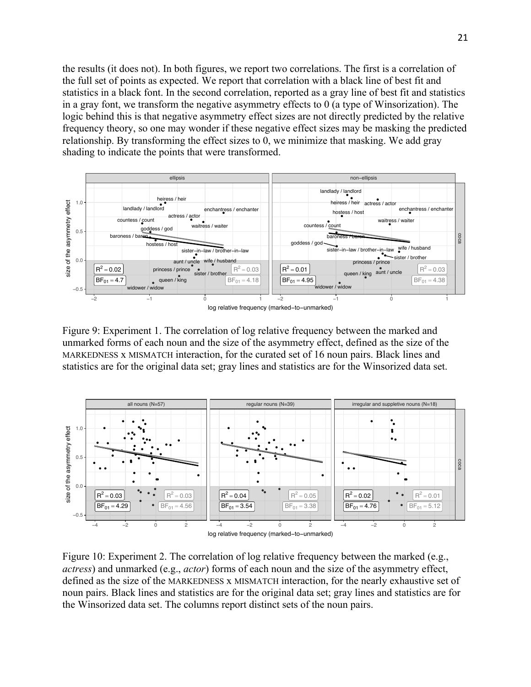the results (it does not). In both figures, we report two correlations. The first is a correlation of the full set of points as expected. We report that correlation with a black line of best fit and statistics in a black font. In the second correlation, reported as a gray line of best fit and statistics in a gray font, we transform the negative asymmetry effects to 0 (a type of Winsorization). The logic behind this is that negative asymmetry effect sizes are not directly predicted by the relative frequency theory, so one may wonder if these negative effect sizes may be masking the predicted relationship. By transforming the effect sizes to 0, we minimize that masking. We add gray shading to indicate the points that were transformed.



Figure 9: Experiment 1. The correlation of log relative frequency between the marked and unmarked forms of each noun and the size of the asymmetry effect, defined as the size of the MARKEDNESS x MISMATCH interaction, for the curated set of 16 noun pairs. Black lines and statistics are for the original data set; gray lines and statistics are for the Winsorized data set.



Figure 10: Experiment 2. The correlation of log relative frequency between the marked (e.g., *actress*) and unmarked (e.g., *actor*) forms of each noun and the size of the asymmetry effect, defined as the size of the MARKEDNESS x MISMATCH interaction, for the nearly exhaustive set of noun pairs. Black lines and statistics are for the original data set; gray lines and statistics are for the Winsorized data set. The columns report distinct sets of the noun pairs.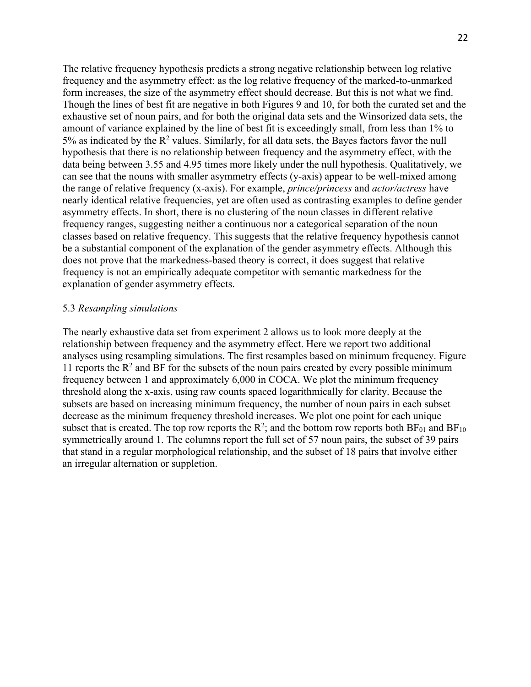The relative frequency hypothesis predicts a strong negative relationship between log relative frequency and the asymmetry effect: as the log relative frequency of the marked-to-unmarked form increases, the size of the asymmetry effect should decrease. But this is not what we find. Though the lines of best fit are negative in both Figures 9 and 10, for both the curated set and the exhaustive set of noun pairs, and for both the original data sets and the Winsorized data sets, the amount of variance explained by the line of best fit is exceedingly small, from less than 1% to  $5\%$  as indicated by the  $\mathbb{R}^2$  values. Similarly, for all data sets, the Bayes factors favor the null hypothesis that there is no relationship between frequency and the asymmetry effect, with the data being between 3.55 and 4.95 times more likely under the null hypothesis. Qualitatively, we can see that the nouns with smaller asymmetry effects (y-axis) appear to be well-mixed among the range of relative frequency (x-axis). For example, *prince/princess* and *actor/actress* have nearly identical relative frequencies, yet are often used as contrasting examples to define gender asymmetry effects. In short, there is no clustering of the noun classes in different relative frequency ranges, suggesting neither a continuous nor a categorical separation of the noun classes based on relative frequency. This suggests that the relative frequency hypothesis cannot be a substantial component of the explanation of the gender asymmetry effects. Although this does not prove that the markedness-based theory is correct, it does suggest that relative frequency is not an empirically adequate competitor with semantic markedness for the explanation of gender asymmetry effects.

#### 5.3 *Resampling simulations*

The nearly exhaustive data set from experiment 2 allows us to look more deeply at the relationship between frequency and the asymmetry effect. Here we report two additional analyses using resampling simulations. The first resamples based on minimum frequency. Figure 11 reports the  $\mathbb{R}^2$  and BF for the subsets of the noun pairs created by every possible minimum frequency between 1 and approximately 6,000 in COCA. We plot the minimum frequency threshold along the x-axis, using raw counts spaced logarithmically for clarity. Because the subsets are based on increasing minimum frequency, the number of noun pairs in each subset decrease as the minimum frequency threshold increases. We plot one point for each unique subset that is created. The top row reports the  $R^2$ ; and the bottom row reports both  $BF_{01}$  and  $BF_{10}$ symmetrically around 1. The columns report the full set of 57 noun pairs, the subset of 39 pairs that stand in a regular morphological relationship, and the subset of 18 pairs that involve either an irregular alternation or suppletion.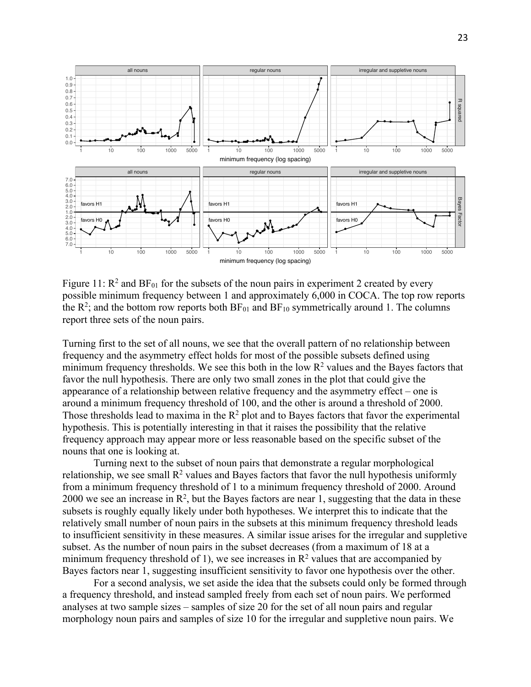

Figure 11:  $R^2$  and  $BF_{01}$  for the subsets of the noun pairs in experiment 2 created by every possible minimum frequency between 1 and approximately 6,000 in COCA. The top row reports the  $R^2$ ; and the bottom row reports both  $BF_{01}$  and  $BF_{10}$  symmetrically around 1. The columns report three sets of the noun pairs.

Turning first to the set of all nouns, we see that the overall pattern of no relationship between frequency and the asymmetry effect holds for most of the possible subsets defined using minimum frequency thresholds. We see this both in the low  $R^2$  values and the Bayes factors that favor the null hypothesis. There are only two small zones in the plot that could give the appearance of a relationship between relative frequency and the asymmetry effect – one is around a minimum frequency threshold of 100, and the other is around a threshold of 2000. Those thresholds lead to maxima in the  $R^2$  plot and to Bayes factors that favor the experimental hypothesis. This is potentially interesting in that it raises the possibility that the relative frequency approach may appear more or less reasonable based on the specific subset of the nouns that one is looking at.

Turning next to the subset of noun pairs that demonstrate a regular morphological relationship, we see small  $\mathbb{R}^2$  values and Bayes factors that favor the null hypothesis uniformly from a minimum frequency threshold of 1 to a minimum frequency threshold of 2000. Around 2000 we see an increase in  $\mathbb{R}^2$ , but the Bayes factors are near 1, suggesting that the data in these subsets is roughly equally likely under both hypotheses. We interpret this to indicate that the relatively small number of noun pairs in the subsets at this minimum frequency threshold leads to insufficient sensitivity in these measures. A similar issue arises for the irregular and suppletive subset. As the number of noun pairs in the subset decreases (from a maximum of 18 at a minimum frequency threshold of 1), we see increases in  $\mathbb{R}^2$  values that are accompanied by Bayes factors near 1, suggesting insufficient sensitivity to favor one hypothesis over the other.

For a second analysis, we set aside the idea that the subsets could only be formed through a frequency threshold, and instead sampled freely from each set of noun pairs. We performed analyses at two sample sizes – samples of size 20 for the set of all noun pairs and regular morphology noun pairs and samples of size 10 for the irregular and suppletive noun pairs. We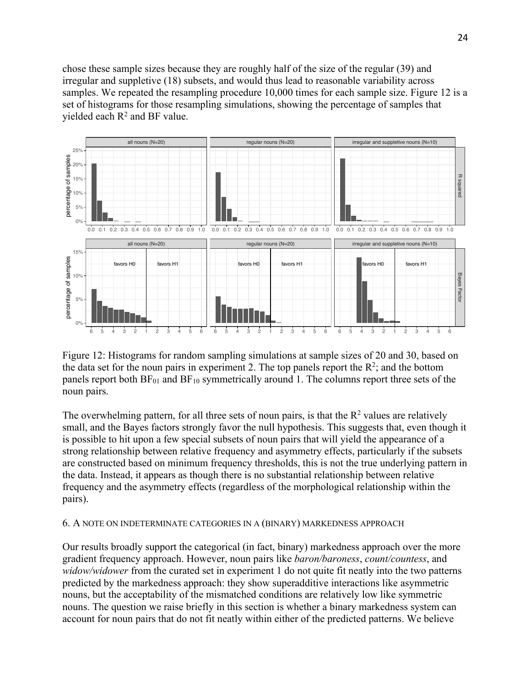chose these sample sizes because they are roughly half of the size of the regular (39) and irregular and suppletive (18) subsets, and would thus lead to reasonable variability across samples. We repeated the resampling procedure 10,000 times for each sample size. Figure 12 is a set of histograms for those resampling simulations, showing the percentage of samples that yielded each  $R^2$  and BF value.



Figure 12: Histograms for random sampling simulations at sample sizes of 20 and 30, based on the data set for the noun pairs in experiment 2. The top panels report the  $\mathbb{R}^2$ ; and the bottom panels report both  $BF_{01}$  and  $BF_{10}$  symmetrically around 1. The columns report three sets of the noun pairs.

The overwhelming pattern, for all three sets of noun pairs, is that the  $R<sup>2</sup>$  values are relatively small, and the Bayes factors strongly favor the null hypothesis. This suggests that, even though it is possible to hit upon a few special subsets of noun pairs that will yield the appearance of a strong relationship between relative frequency and asymmetry effects, particularly if the subsets are constructed based on minimum frequency thresholds, this is not the true underlying pattern in the data. Instead, it appears as though there is no substantial relationship between relative frequency and the asymmetry effects (regardless of the morphological relationship within the pairs).

### 6. A NOTE ON INDETERMINATE CATEGORIES IN A (BINARY) MARKEDNESS APPROACH

Our results broadly support the categorical (in fact, binary) markedness approach over the more gradient frequency approach. However, noun pairs like *baron/baroness*, *count/countess*, and *widow/widower* from the curated set in experiment 1 do not quite fit neatly into the two patterns predicted by the markedness approach: they show superadditive interactions like asymmetric nouns, but the acceptability of the mismatched conditions are relatively low like symmetric nouns. The question we raise briefly in this section is whether a binary markedness system can account for noun pairs that do not fit neatly within either of the predicted patterns. We believe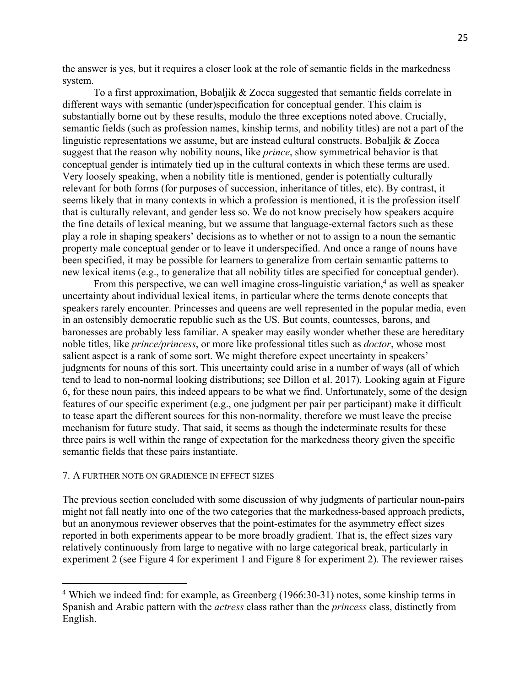the answer is yes, but it requires a closer look at the role of semantic fields in the markedness system.

To a first approximation, Bobaljik & Zocca suggested that semantic fields correlate in different ways with semantic (under)specification for conceptual gender. This claim is substantially borne out by these results, modulo the three exceptions noted above. Crucially, semantic fields (such as profession names, kinship terms, and nobility titles) are not a part of the linguistic representations we assume, but are instead cultural constructs. Bobaljik & Zocca suggest that the reason why nobility nouns, like *prince*, show symmetrical behavior is that conceptual gender is intimately tied up in the cultural contexts in which these terms are used. Very loosely speaking, when a nobility title is mentioned, gender is potentially culturally relevant for both forms (for purposes of succession, inheritance of titles, etc). By contrast, it seems likely that in many contexts in which a profession is mentioned, it is the profession itself that is culturally relevant, and gender less so. We do not know precisely how speakers acquire the fine details of lexical meaning, but we assume that language-external factors such as these play a role in shaping speakers' decisions as to whether or not to assign to a noun the semantic property male conceptual gender or to leave it underspecified. And once a range of nouns have been specified, it may be possible for learners to generalize from certain semantic patterns to new lexical items (e.g., to generalize that all nobility titles are specified for conceptual gender).

From this perspective, we can well imagine cross-linguistic variation, $4$  as well as speaker uncertainty about individual lexical items, in particular where the terms denote concepts that speakers rarely encounter. Princesses and queens are well represented in the popular media, even in an ostensibly democratic republic such as the US. But counts, countesses, barons, and baronesses are probably less familiar. A speaker may easily wonder whether these are hereditary noble titles, like *prince/princess*, or more like professional titles such as *doctor*, whose most salient aspect is a rank of some sort. We might therefore expect uncertainty in speakers' judgments for nouns of this sort. This uncertainty could arise in a number of ways (all of which tend to lead to non-normal looking distributions; see Dillon et al. 2017). Looking again at Figure 6, for these noun pairs, this indeed appears to be what we find. Unfortunately, some of the design features of our specific experiment (e.g., one judgment per pair per participant) make it difficult to tease apart the different sources for this non-normality, therefore we must leave the precise mechanism for future study. That said, it seems as though the indeterminate results for these three pairs is well within the range of expectation for the markedness theory given the specific semantic fields that these pairs instantiate.

#### 7. A FURTHER NOTE ON GRADIENCE IN EFFECT SIZES

The previous section concluded with some discussion of why judgments of particular noun-pairs might not fall neatly into one of the two categories that the markedness-based approach predicts, but an anonymous reviewer observes that the point-estimates for the asymmetry effect sizes reported in both experiments appear to be more broadly gradient. That is, the effect sizes vary relatively continuously from large to negative with no large categorical break, particularly in experiment 2 (see Figure 4 for experiment 1 and Figure 8 for experiment 2). The reviewer raises

<sup>4</sup> Which we indeed find: for example, as Greenberg (1966:30-31) notes, some kinship terms in Spanish and Arabic pattern with the *actress* class rather than the *princess* class, distinctly from English.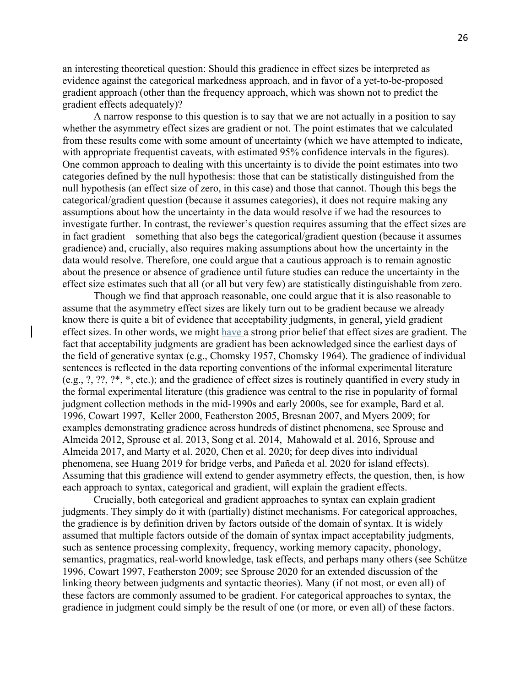an interesting theoretical question: Should this gradience in effect sizes be interpreted as evidence against the categorical markedness approach, and in favor of a yet-to-be-proposed gradient approach (other than the frequency approach, which was shown not to predict the gradient effects adequately)?

A narrow response to this question is to say that we are not actually in a position to say whether the asymmetry effect sizes are gradient or not. The point estimates that we calculated from these results come with some amount of uncertainty (which we have attempted to indicate, with appropriate frequentist caveats, with estimated 95% confidence intervals in the figures). One common approach to dealing with this uncertainty is to divide the point estimates into two categories defined by the null hypothesis: those that can be statistically distinguished from the null hypothesis (an effect size of zero, in this case) and those that cannot. Though this begs the categorical/gradient question (because it assumes categories), it does not require making any assumptions about how the uncertainty in the data would resolve if we had the resources to investigate further. In contrast, the reviewer's question requires assuming that the effect sizes are in fact gradient – something that also begs the categorical/gradient question (because it assumes gradience) and, crucially, also requires making assumptions about how the uncertainty in the data would resolve. Therefore, one could argue that a cautious approach is to remain agnostic about the presence or absence of gradience until future studies can reduce the uncertainty in the effect size estimates such that all (or all but very few) are statistically distinguishable from zero.

Though we find that approach reasonable, one could argue that it is also reasonable to assume that the asymmetry effect sizes are likely turn out to be gradient because we already know there is quite a bit of evidence that acceptability judgments, in general, yield gradient effect sizes. In other words, we might have a strong prior belief that effect sizes are gradient. The fact that acceptability judgments are gradient has been acknowledged since the earliest days of the field of generative syntax (e.g., Chomsky 1957, Chomsky 1964). The gradience of individual sentences is reflected in the data reporting conventions of the informal experimental literature (e.g., ?, ??, ?\*, \*, etc.); and the gradience of effect sizes is routinely quantified in every study in the formal experimental literature (this gradience was central to the rise in popularity of formal judgment collection methods in the mid-1990s and early 2000s, see for example, Bard et al. 1996, Cowart 1997, Keller 2000, Featherston 2005, Bresnan 2007, and Myers 2009; for examples demonstrating gradience across hundreds of distinct phenomena, see Sprouse and Almeida 2012, Sprouse et al. 2013, Song et al. 2014, Mahowald et al. 2016, Sprouse and Almeida 2017, and Marty et al. 2020, Chen et al. 2020; for deep dives into individual phenomena, see Huang 2019 for bridge verbs, and Pañeda et al. 2020 for island effects). Assuming that this gradience will extend to gender asymmetry effects, the question, then, is how each approach to syntax, categorical and gradient, will explain the gradient effects.

Crucially, both categorical and gradient approaches to syntax can explain gradient judgments. They simply do it with (partially) distinct mechanisms. For categorical approaches, the gradience is by definition driven by factors outside of the domain of syntax. It is widely assumed that multiple factors outside of the domain of syntax impact acceptability judgments, such as sentence processing complexity, frequency, working memory capacity, phonology, semantics, pragmatics, real-world knowledge, task effects, and perhaps many others (see Schütze 1996, Cowart 1997, Featherston 2009; see Sprouse 2020 for an extended discussion of the linking theory between judgments and syntactic theories). Many (if not most, or even all) of these factors are commonly assumed to be gradient. For categorical approaches to syntax, the gradience in judgment could simply be the result of one (or more, or even all) of these factors.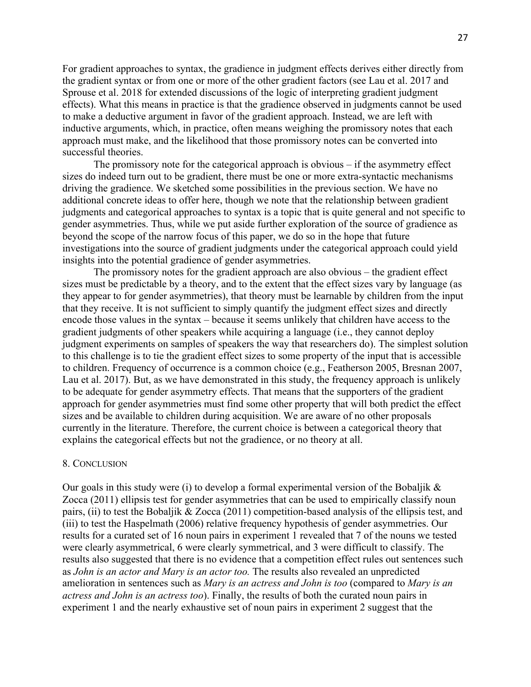For gradient approaches to syntax, the gradience in judgment effects derives either directly from the gradient syntax or from one or more of the other gradient factors (see Lau et al. 2017 and Sprouse et al. 2018 for extended discussions of the logic of interpreting gradient judgment effects). What this means in practice is that the gradience observed in judgments cannot be used to make a deductive argument in favor of the gradient approach. Instead, we are left with inductive arguments, which, in practice, often means weighing the promissory notes that each approach must make, and the likelihood that those promissory notes can be converted into successful theories.

The promissory note for the categorical approach is obvious – if the asymmetry effect sizes do indeed turn out to be gradient, there must be one or more extra-syntactic mechanisms driving the gradience. We sketched some possibilities in the previous section. We have no additional concrete ideas to offer here, though we note that the relationship between gradient judgments and categorical approaches to syntax is a topic that is quite general and not specific to gender asymmetries. Thus, while we put aside further exploration of the source of gradience as beyond the scope of the narrow focus of this paper, we do so in the hope that future investigations into the source of gradient judgments under the categorical approach could yield insights into the potential gradience of gender asymmetries.

The promissory notes for the gradient approach are also obvious – the gradient effect sizes must be predictable by a theory, and to the extent that the effect sizes vary by language (as they appear to for gender asymmetries), that theory must be learnable by children from the input that they receive. It is not sufficient to simply quantify the judgment effect sizes and directly encode those values in the syntax – because it seems unlikely that children have access to the gradient judgments of other speakers while acquiring a language (i.e., they cannot deploy judgment experiments on samples of speakers the way that researchers do). The simplest solution to this challenge is to tie the gradient effect sizes to some property of the input that is accessible to children. Frequency of occurrence is a common choice (e.g., Featherson 2005, Bresnan 2007, Lau et al. 2017). But, as we have demonstrated in this study, the frequency approach is unlikely to be adequate for gender asymmetry effects. That means that the supporters of the gradient approach for gender asymmetries must find some other property that will both predict the effect sizes and be available to children during acquisition. We are aware of no other proposals currently in the literature. Therefore, the current choice is between a categorical theory that explains the categorical effects but not the gradience, or no theory at all.

#### 8. CONCLUSION

Our goals in this study were (i) to develop a formal experimental version of the Bobaljik  $\&$ Zocca (2011) ellipsis test for gender asymmetries that can be used to empirically classify noun pairs, (ii) to test the Bobaljik & Zocca (2011) competition-based analysis of the ellipsis test, and (iii) to test the Haspelmath (2006) relative frequency hypothesis of gender asymmetries. Our results for a curated set of 16 noun pairs in experiment 1 revealed that 7 of the nouns we tested were clearly asymmetrical, 6 were clearly symmetrical, and 3 were difficult to classify. The results also suggested that there is no evidence that a competition effect rules out sentences such as *John is an actor and Mary is an actor too.* The results also revealed an unpredicted amelioration in sentences such as *Mary is an actress and John is too* (compared to *Mary is an actress and John is an actress too*). Finally, the results of both the curated noun pairs in experiment 1 and the nearly exhaustive set of noun pairs in experiment 2 suggest that the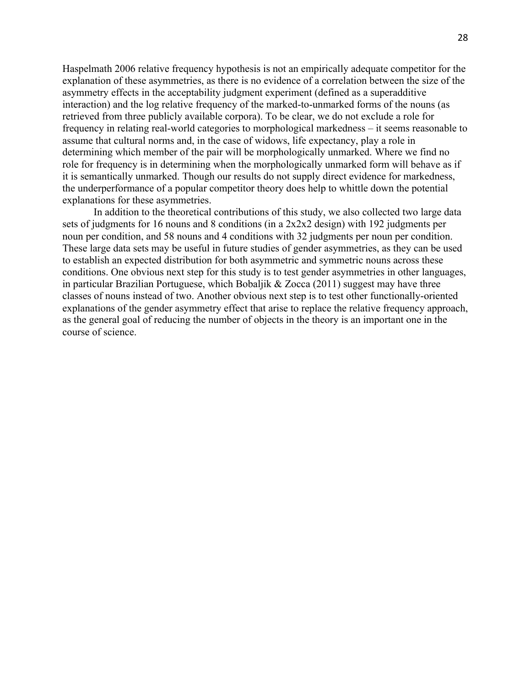Haspelmath 2006 relative frequency hypothesis is not an empirically adequate competitor for the explanation of these asymmetries, as there is no evidence of a correlation between the size of the asymmetry effects in the acceptability judgment experiment (defined as a superadditive interaction) and the log relative frequency of the marked-to-unmarked forms of the nouns (as retrieved from three publicly available corpora). To be clear, we do not exclude a role for frequency in relating real-world categories to morphological markedness – it seems reasonable to assume that cultural norms and, in the case of widows, life expectancy, play a role in determining which member of the pair will be morphologically unmarked. Where we find no role for frequency is in determining when the morphologically unmarked form will behave as if it is semantically unmarked. Though our results do not supply direct evidence for markedness, the underperformance of a popular competitor theory does help to whittle down the potential explanations for these asymmetries.

In addition to the theoretical contributions of this study, we also collected two large data sets of judgments for 16 nouns and 8 conditions (in a 2x2x2 design) with 192 judgments per noun per condition, and 58 nouns and 4 conditions with 32 judgments per noun per condition. These large data sets may be useful in future studies of gender asymmetries, as they can be used to establish an expected distribution for both asymmetric and symmetric nouns across these conditions. One obvious next step for this study is to test gender asymmetries in other languages, in particular Brazilian Portuguese, which Bobaljik  $& Zocca (2011)$  suggest may have three classes of nouns instead of two. Another obvious next step is to test other functionally-oriented explanations of the gender asymmetry effect that arise to replace the relative frequency approach, as the general goal of reducing the number of objects in the theory is an important one in the course of science.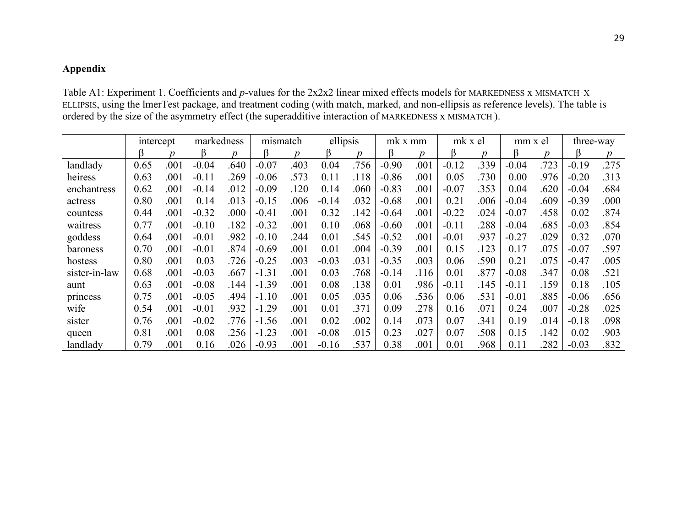# **Appendix**

Table A1: Experiment 1. Coefficients and *p*-values for the 2x2x2 linear mixed effects models for MARKEDNESS x MISMATCH X ELLIPSIS, using the lmerTest package, and treatment coding (with match, marked, and non-ellipsis as reference levels). The table is ordered by the size of the asymmetry effect (the superadditive interaction of MARKEDNESS x MISMATCH ).

|               | intercept |      | markedness |      | mismatch |      | ellipsis |      | mk x mm |      | mk x el |                  | mm x el |                  | three-way |      |
|---------------|-----------|------|------------|------|----------|------|----------|------|---------|------|---------|------------------|---------|------------------|-----------|------|
|               | ß         |      | ß          | n    | ß        | n    | ß        | n    |         | n    | ß       | $\boldsymbol{D}$ | ß       | $\boldsymbol{D}$ | ß         |      |
| landlady      | 0.65      | .001 | $-0.04$    | .640 | $-0.07$  | .403 | 0.04     | .756 | $-0.90$ | .001 | $-0.12$ | .339             | $-0.04$ | .723             | $-0.19$   | .275 |
| heiress       | 0.63      | .001 | $-0.11$    | .269 | $-0.06$  | .573 | 0.11     | .118 | $-0.86$ | .001 | 0.05    | .730             | 0.00    | .976             | $-0.20$   | .313 |
| enchantress   | 0.62      | .001 | $-0.14$    | .012 | $-0.09$  | .120 | 0.14     | .060 | $-0.83$ | .001 | $-0.07$ | .353             | 0.04    | .620             | $-0.04$   | .684 |
| actress       | 0.80      | .001 | 0.14       | .013 | $-0.15$  | .006 | $-0.14$  | .032 | $-0.68$ | .001 | 0.21    | .006             | $-0.04$ | .609             | $-0.39$   | .000 |
| countess      | 0.44      | .001 | $-0.32$    | .000 | $-0.41$  | .001 | 0.32     | .142 | $-0.64$ | .001 | $-0.22$ | .024             | $-0.07$ | .458             | 0.02      | .874 |
| waitress      | 0.77      | .001 | $-0.10$    | .182 | $-0.32$  | .001 | 0.10     | .068 | $-0.60$ | .001 | $-0.11$ | .288             | $-0.04$ | .685             | $-0.03$   | .854 |
| goddess       | 0.64      | .001 | $-0.01$    | .982 | $-0.10$  | .244 | 0.01     | .545 | $-0.52$ | .001 | $-0.01$ | .937             | $-0.27$ | .029             | 0.32      | .070 |
| baroness      | 0.70      | .001 | $-0.01$    | .874 | $-0.69$  | .001 | 0.01     | .004 | $-0.39$ | .001 | 0.15    | .123             | 0.17    | .075             | $-0.07$   | .597 |
| hostess       | 0.80      | .001 | 0.03       | .726 | $-0.25$  | .003 | $-0.03$  | .031 | $-0.35$ | .003 | 0.06    | .590             | 0.21    | .075             | $-0.47$   | .005 |
| sister-in-law | 0.68      | .001 | $-0.03$    | .667 | $-1.31$  | .001 | 0.03     | .768 | $-0.14$ | .116 | 0.01    | .877             | $-0.08$ | .347             | 0.08      | .521 |
| aunt          | 0.63      | .001 | $-0.08$    | .144 | $-1.39$  | .001 | 0.08     | .138 | 0.01    | .986 | $-0.11$ | .145             | $-0.11$ | .159             | 0.18      | .105 |
| princess      | 0.75      | .001 | $-0.05$    | .494 | $-1.10$  | .001 | 0.05     | .035 | 0.06    | .536 | 0.06    | .531             | $-0.01$ | .885             | $-0.06$   | .656 |
| wife          | 0.54      | .001 | $-0.01$    | .932 | $-1.29$  | .001 | 0.01     | .371 | 0.09    | .278 | 0.16    | .071             | 0.24    | .007             | $-0.28$   | .025 |
| sister        | 0.76      | .001 | $-0.02$    | .776 | $-1.56$  | .001 | 0.02     | .002 | 0.14    | .073 | 0.07    | .341             | 0.19    | .014             | $-0.18$   | .098 |
| queen         | 0.81      | .001 | 0.08       | .256 | $-1.23$  | .001 | $-0.08$  | .015 | 0.23    | .027 | 0.07    | .508             | 0.15    | .142             | 0.02      | .903 |
| landlady      | 0.79      | .001 | 0.16       | .026 | $-0.93$  | .001 | $-0.16$  | .537 | 0.38    | .001 | 0.01    | .968             | 0.11    | .282             | $-0.03$   | .832 |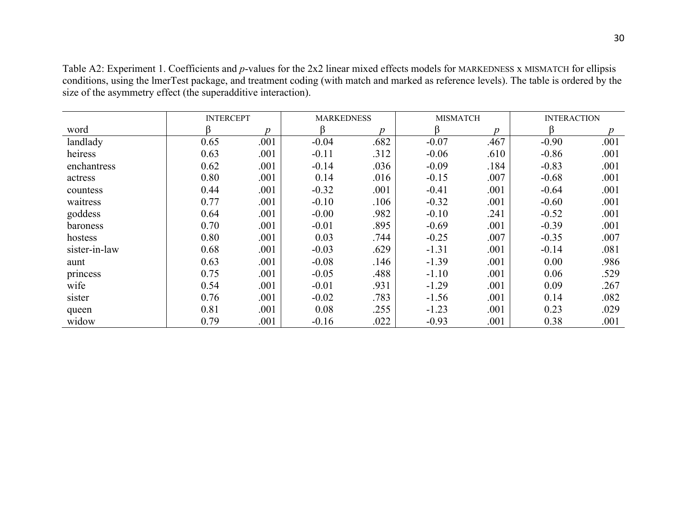Table A2: Experiment 1. Coefficients and *p*-values for the 2x2 linear mixed effects models for MARKEDNESS x MISMATCH for ellipsis conditions, using the lmerTest package, and treatment coding (with match and marked as reference levels). The table is ordered by the size of the asymmetry effect (the superadditive interaction).

|               | <b>INTERCEPT</b> |      |         | <b>MARKEDNESS</b> |         | <b>MISMATCH</b> | <b>INTERACTION</b> |      |
|---------------|------------------|------|---------|-------------------|---------|-----------------|--------------------|------|
| word          |                  | Ŋ    | ß       | $\boldsymbol{D}$  | ß       | n               | ß                  | Ŋ    |
| landlady      | 0.65             | .001 | $-0.04$ | .682              | $-0.07$ | .467            | $-0.90$            | .001 |
| heiress       | 0.63             | .001 | $-0.11$ | .312              | $-0.06$ | .610            | $-0.86$            | .001 |
| enchantress   | 0.62             | .001 | $-0.14$ | .036              | $-0.09$ | .184            | $-0.83$            | .001 |
| actress       | 0.80             | .001 | 0.14    | .016              | $-0.15$ | .007            | $-0.68$            | .001 |
| countess      | 0.44             | .001 | $-0.32$ | .001              | $-0.41$ | .001            | $-0.64$            | .001 |
| waitress      | 0.77             | .001 | $-0.10$ | .106              | $-0.32$ | .001            | $-0.60$            | .001 |
| goddess       | 0.64             | .001 | $-0.00$ | .982              | $-0.10$ | .241            | $-0.52$            | .001 |
| baroness      | 0.70             | .001 | $-0.01$ | .895              | $-0.69$ | .001            | $-0.39$            | .001 |
| hostess       | 0.80             | .001 | 0.03    | .744              | $-0.25$ | .007            | $-0.35$            | .007 |
| sister-in-law | 0.68             | .001 | $-0.03$ | .629              | $-1.31$ | .001            | $-0.14$            | .081 |
| aunt          | 0.63             | .001 | $-0.08$ | .146              | $-1.39$ | .001            | 0.00               | .986 |
| princess      | 0.75             | .001 | $-0.05$ | .488              | $-1.10$ | .001            | 0.06               | .529 |
| wife          | 0.54             | .001 | $-0.01$ | .931              | $-1.29$ | .001            | 0.09               | .267 |
| sister        | 0.76             | .001 | $-0.02$ | .783              | $-1.56$ | .001            | 0.14               | .082 |
| queen         | 0.81             | .001 | 0.08    | .255              | $-1.23$ | .001            | 0.23               | .029 |
| widow         | 0.79             | .001 | $-0.16$ | .022              | $-0.93$ | .001            | 0.38               | .001 |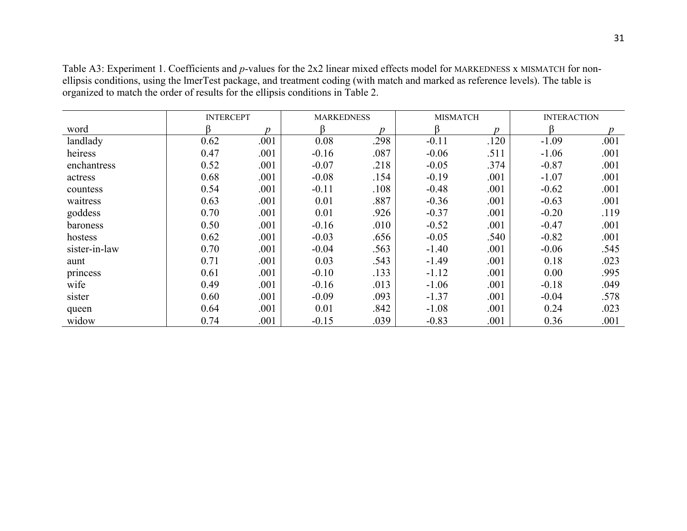|               | <b>INTERCEPT</b> |      | <b>MARKEDNESS</b> |      |         | <b>MISMATCH</b> | <b>INTERACTION</b> |      |
|---------------|------------------|------|-------------------|------|---------|-----------------|--------------------|------|
| word          |                  | n    |                   | n    |         | Ŋ               | ß                  |      |
| landlady      | 0.62             | .001 | 0.08              | .298 | $-0.11$ | .120            | $-1.09$            | .001 |
| heiress       | 0.47             | .001 | $-0.16$           | .087 | $-0.06$ | .511            | $-1.06$            | .001 |
| enchantress   | 0.52             | .001 | $-0.07$           | .218 | $-0.05$ | .374            | $-0.87$            | .001 |
| actress       | 0.68             | .001 | $-0.08$           | .154 | $-0.19$ | .001            | $-1.07$            | .001 |
| countess      | 0.54             | .001 | $-0.11$           | .108 | $-0.48$ | .001            | $-0.62$            | .001 |
| waitress      | 0.63             | .001 | 0.01              | .887 | $-0.36$ | .001            | $-0.63$            | .001 |
| goddess       | 0.70             | .001 | 0.01              | .926 | $-0.37$ | .001            | $-0.20$            | .119 |
| baroness      | 0.50             | .001 | $-0.16$           | .010 | $-0.52$ | .001            | $-0.47$            | .001 |
| hostess       | 0.62             | .001 | $-0.03$           | .656 | $-0.05$ | .540            | $-0.82$            | .001 |
| sister-in-law | 0.70             | .001 | $-0.04$           | .563 | $-1.40$ | .001            | $-0.06$            | .545 |
| aunt          | 0.71             | .001 | 0.03              | .543 | $-1.49$ | .001            | 0.18               | .023 |
| princess      | 0.61             | .001 | $-0.10$           | .133 | $-1.12$ | .001            | 0.00               | .995 |
| wife          | 0.49             | .001 | $-0.16$           | .013 | $-1.06$ | .001            | $-0.18$            | .049 |
| sister        | 0.60             | .001 | $-0.09$           | .093 | $-1.37$ | .001            | $-0.04$            | .578 |
| queen         | 0.64             | .001 | 0.01              | .842 | $-1.08$ | .001            | 0.24               | .023 |
| widow         | 0.74             | .001 | $-0.15$           | .039 | $-0.83$ | .001            | 0.36               | .001 |

Table A3: Experiment 1. Coefficients and *p*-values for the 2x2 linear mixed effects model for MARKEDNESS x MISMATCH for nonellipsis conditions, using the lmerTest package, and treatment coding (with match and marked as reference levels). The table is organized to match the order of results for the ellipsis conditions in Table 2.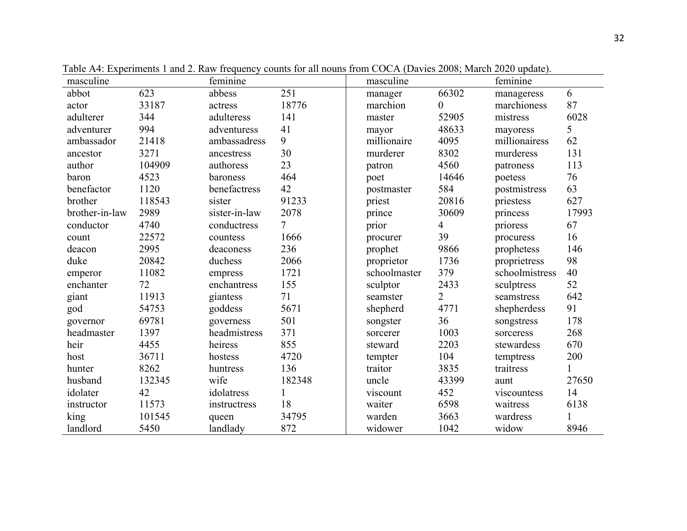| masculine      |        | feminine      |              | masculine    |                | feminine       |              |
|----------------|--------|---------------|--------------|--------------|----------------|----------------|--------------|
| abbot          | 623    | abbess        | 251          | manager      | 66302          | manageress     | 6            |
| actor          | 33187  | actress       | 18776        | marchion     | $\theta$       | marchioness    | 87           |
| adulterer      | 344    | adulteress    | 141          | master       | 52905          | mistress       | 6028         |
| adventurer     | 994    | adventuress   | 41           | mayor        | 48633          | mayoress       | 5            |
| ambassador     | 21418  | ambassadress  | 9            | millionaire  | 4095           | millionairess  | 62           |
| ancestor       | 3271   | ancestress    | 30           | murderer     | 8302           | murderess      | 131          |
| author         | 104909 | authoress     | 23           | patron       | 4560           | patroness      | 113          |
| baron          | 4523   | baroness      | 464          | poet         | 14646          | poetess        | 76           |
| benefactor     | 1120   | benefactress  | 42           | postmaster   | 584            | postmistress   | 63           |
| brother        | 118543 | sister        | 91233        | priest       | 20816          | priestess      | 627          |
| brother-in-law | 2989   | sister-in-law | 2078         | prince       | 30609          | princess       | 17993        |
| conductor      | 4740   | conductress   | 7            | prior        | 4              | prioress       | 67           |
| count          | 22572  | countess      | 1666         | procurer     | 39             | procuress      | 16           |
| deacon         | 2995   | deaconess     | 236          | prophet      | 9866           | prophetess     | 146          |
| duke           | 20842  | duchess       | 2066         | proprietor   | 1736           | proprietress   | 98           |
| emperor        | 11082  | empress       | 1721         | schoolmaster | 379            | schoolmistress | 40           |
| enchanter      | 72     | enchantress   | 155          | sculptor     | 2433           | sculptress     | 52           |
| giant          | 11913  | giantess      | 71           | seamster     | $\overline{2}$ | seamstress     | 642          |
| god            | 54753  | goddess       | 5671         | shepherd     | 4771           | shepherdess    | 91           |
| governor       | 69781  | governess     | 501          | songster     | 36             | songstress     | 178          |
| headmaster     | 1397   | headmistress  | 371          | sorcerer     | 1003           | sorceress      | 268          |
| heir           | 4455   | heiress       | 855          | steward      | 2203           | stewardess     | 670          |
| host           | 36711  | hostess       | 4720         | tempter      | 104            | temptress      | 200          |
| hunter         | 8262   | huntress      | 136          | traitor      | 3835           | traitress      | $\mathbf{1}$ |
| husband        | 132345 | wife          | 182348       | uncle        | 43399          | aunt           | 27650        |
| idolater       | 42     | idolatress    | $\mathbf{1}$ | viscount     | 452            | viscountess    | 14           |
| instructor     | 11573  | instructress  | 18           | waiter       | 6598           | waitress       | 6138         |
| king           | 101545 | queen         | 34795        | warden       | 3663           | wardress       | $\mathbf{1}$ |
| landlord       | 5450   | landlady      | 872          | widower      | 1042           | widow          | 8946         |

Table A4: Experiments 1 and 2. Raw frequency counts for all nouns from COCA (Davies 2008; March 2020 update).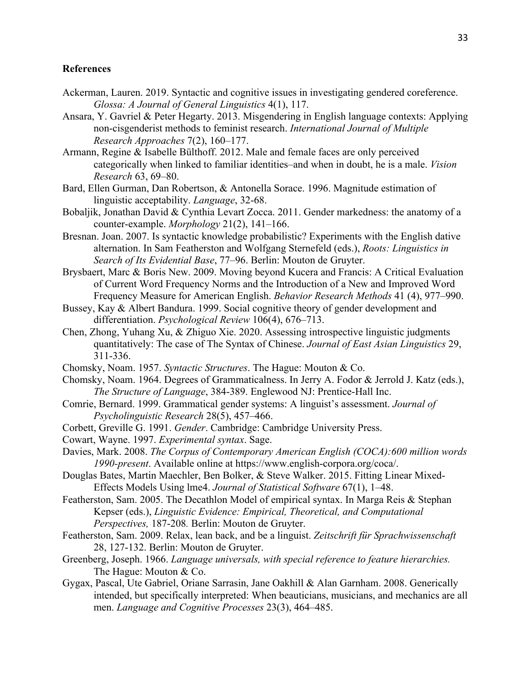## **References**

- Ackerman, Lauren. 2019. Syntactic and cognitive issues in investigating gendered coreference. *Glossa: A Journal of General Linguistics* 4(1), 117.
- Ansara, Y. Gavriel & Peter Hegarty. 2013. Misgendering in English language contexts: Applying non-cisgenderist methods to feminist research. *International Journal of Multiple Research Approaches* 7(2), 160–177.
- Armann, Regine & Isabelle Bülthoff. 2012. Male and female faces are only perceived categorically when linked to familiar identities–and when in doubt, he is a male. *Vision Research* 63, 69–80.
- Bard, Ellen Gurman, Dan Robertson, & Antonella Sorace. 1996. Magnitude estimation of linguistic acceptability. *Language*, 32-68.
- Bobaljik, Jonathan David & Cynthia Levart Zocca. 2011. Gender markedness: the anatomy of a counter-example. *Morphology* 21(2), 141–166.
- Bresnan. Joan. 2007. Is syntactic knowledge probabilistic? Experiments with the English dative alternation. In Sam Featherston and Wolfgang Sternefeld (eds.), *Roots: Linguistics in Search of Its Evidential Base*, 77–96. Berlin: Mouton de Gruyter.
- Brysbaert, Marc & Boris New. 2009. Moving beyond Kucera and Francis: A Critical Evaluation of Current Word Frequency Norms and the Introduction of a New and Improved Word Frequency Measure for American English. *Behavior Research Methods* 41 (4), 977–990.
- Bussey, Kay & Albert Bandura. 1999. Social cognitive theory of gender development and differentiation. *Psychological Review* 106(4), 676–713.
- Chen, Zhong, Yuhang Xu, & Zhiguo Xie. 2020. Assessing introspective linguistic judgments quantitatively: The case of The Syntax of Chinese. *Journal of East Asian Linguistics* 29, 311-336.
- Chomsky, Noam. 1957. *Syntactic Structures*. The Hague: Mouton & Co.
- Chomsky, Noam. 1964. Degrees of Grammaticalness. In Jerry A. Fodor & Jerrold J. Katz (eds.), *The Structure of Language*, 384-389. Englewood NJ: Prentice-Hall Inc.
- Comrie, Bernard. 1999. Grammatical gender systems: A linguist's assessment. *Journal of Psycholinguistic Research* 28(5), 457–466.
- Corbett, Greville G. 1991. *Gender*. Cambridge: Cambridge University Press.
- Cowart, Wayne. 1997. *Experimental syntax*. Sage.
- Davies, Mark. 2008. *The Corpus of Contemporary American English (COCA):600 million words 1990-present*. Available online at https://www.english-corpora.org/coca/.
- Douglas Bates, Martin Maechler, Ben Bolker, & Steve Walker. 2015. Fitting Linear Mixed-Effects Models Using lme4. *Journal of Statistical Software* 67(1), 1–48.
- Featherston, Sam. 2005. The Decathlon Model of empirical syntax. In Marga Reis & Stephan Kepser (eds.), *Linguistic Evidence: Empirical, Theoretical, and Computational Perspectives,* 187-208*.* Berlin: Mouton de Gruyter.
- Featherston, Sam. 2009. Relax, lean back, and be a linguist. *Zeitschrift für Sprachwissenschaft* 28, 127-132. Berlin: Mouton de Gruyter.
- Greenberg, Joseph. 1966. *Language universals, with special reference to feature hierarchies.*  The Hague: Mouton & Co.
- Gygax, Pascal, Ute Gabriel, Oriane Sarrasin, Jane Oakhill & Alan Garnham. 2008. Generically intended, but specifically interpreted: When beauticians, musicians, and mechanics are all men. *Language and Cognitive Processes* 23(3), 464–485.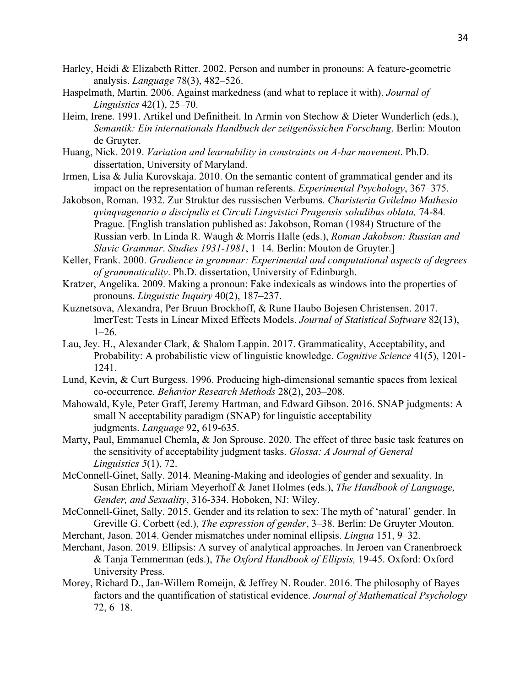- Harley, Heidi & Elizabeth Ritter. 2002. Person and number in pronouns: A feature-geometric analysis. *Language* 78(3), 482–526.
- Haspelmath, Martin. 2006. Against markedness (and what to replace it with). *Journal of Linguistics* 42(1), 25–70.
- Heim, Irene. 1991. Artikel und Definitheit. In Armin von Stechow & Dieter Wunderlich (eds.), *Semantik: Ein internationals Handbuch der zeitgenössichen Forschung*. Berlin: Mouton de Gruyter.
- Huang, Nick. 2019. *Variation and learnability in constraints on A-bar movement*. Ph.D. dissertation, University of Maryland.
- Irmen, Lisa & Julia Kurovskaja. 2010. On the semantic content of grammatical gender and its impact on the representation of human referents. *Experimental Psychology*, 367–375.
- Jakobson, Roman. 1932. Zur Struktur des russischen Verbums. *Charisteria Gvilelmo Mathesio qvinqvagenario a discipulis et Circuli Lingvistici Pragensis soladibus oblata,* 74-84*.*  Prague. [English translation published as: Jakobson, Roman (1984) Structure of the Russian verb. In Linda R. Waugh & Morris Halle (eds.), *Roman Jakobson: Russian and Slavic Grammar*. *Studies 1931-1981*, 1–14. Berlin: Mouton de Gruyter.]
- Keller, Frank. 2000. *Gradience in grammar: Experimental and computational aspects of degrees of grammaticality*. Ph.D. dissertation, University of Edinburgh.
- Kratzer, Angelika. 2009. Making a pronoun: Fake indexicals as windows into the properties of pronouns. *Linguistic Inquiry* 40(2), 187–237.
- Kuznetsova, Alexandra, Per Bruun Brockhoff, & Rune Haubo Bojesen Christensen. 2017. lmerTest: Tests in Linear Mixed Effects Models. *Journal of Statistical Software* 82(13),  $1-26.$
- Lau, Jey. H., Alexander Clark, & Shalom Lappin. 2017. Grammaticality, Acceptability, and Probability: A probabilistic view of linguistic knowledge. *Cognitive Science* 41(5), 1201- 1241.
- Lund, Kevin, & Curt Burgess. 1996. Producing high-dimensional semantic spaces from lexical co-occurrence. *Behavior Research Methods* 28(2), 203–208.
- Mahowald, Kyle, Peter Graff, Jeremy Hartman, and Edward Gibson. 2016. SNAP judgments: A small N acceptability paradigm (SNAP) for linguistic acceptability judgments. *Language* 92, 619-635.
- Marty, Paul, Emmanuel Chemla, & Jon Sprouse. 2020. The effect of three basic task features on the sensitivity of acceptability judgment tasks. *Glossa: A Journal of General Linguistics 5*(1), 72.
- McConnell-Ginet, Sally. 2014. Meaning-Making and ideologies of gender and sexuality. In Susan Ehrlich, Miriam Meyerhoff & Janet Holmes (eds.), *The Handbook of Language, Gender, and Sexuality*, 316-334. Hoboken, NJ: Wiley.
- McConnell-Ginet, Sally. 2015. Gender and its relation to sex: The myth of 'natural' gender. In Greville G. Corbett (ed.), *The expression of gender*, 3–38. Berlin: De Gruyter Mouton.
- Merchant, Jason. 2014. Gender mismatches under nominal ellipsis. *Lingua* 151, 9–32.
- Merchant, Jason. 2019. Ellipsis: A survey of analytical approaches. In Jeroen van Cranenbroeck & Tanja Temmerman (eds.), *The Oxford Handbook of Ellipsis,* 19-45. Oxford: Oxford University Press.
- Morey, Richard D., Jan-Willem Romeijn, & Jeffrey N. Rouder. 2016. The philosophy of Bayes factors and the quantification of statistical evidence. *Journal of Mathematical Psychology* 72, 6–18.